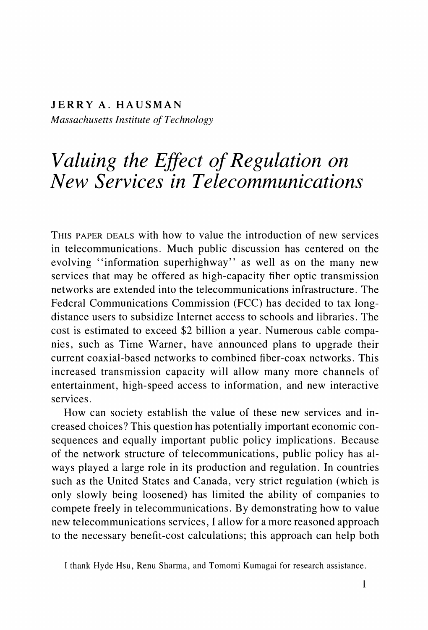**JERRY A. HAUSMAN Massachusetts Institute of Technology** 

# **Valuing the Effect of Regulation on New Services in Telecommunications**

**THIS PAPER DEALS with how to value the introduction of new services in telecommunications. Much public discussion has centered on the evolving "information superhighway" as well as on the many new services that may be offered as high-capacity fiber optic transmission networks are extended into the telecommunications infrastructure. The Federal Communications Commission (FCC) has decided to tax longdistance users to subsidize Internet access to schools and libraries. The cost is estimated to exceed \$2 billion a year. Numerous cable companies, such as Time Warner, have announced plans to upgrade their current coaxial-based networks to combined fiber-coax networks. This increased transmission capacity will allow many more channels of entertainment, high-speed access to information, and new interactive services.** 

**How can society establish the value of these new services and increased choices? This question has potentially important economic consequences and equally important public policy implications. Because of the network structure of telecommunications, public policy has always played a large role in its production and regulation. In countries such as the United States and Canada, very strict regulation (which is only slowly being loosened) has limited the ability of companies to compete freely in telecommunications. By demonstrating how to value new telecommunications services, I allow for a more reasoned approach to the necessary benefit-cost calculations; this approach can help both** 

**I thank Hyde Hsu, Renu Sharma, and Tomomi Kumagai for research assistance.**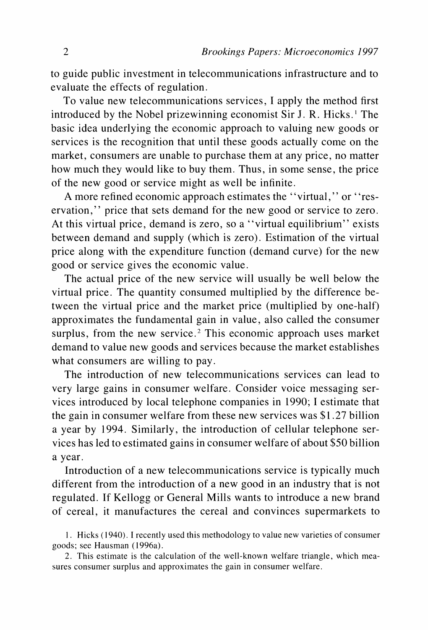**to guide public investment in telecommunications infrastructure and to evaluate the effects of regulation.** 

**To value new telecommunications services, I apply the method first introduced by the Nobel prizewinning economist Sir J. R. Hicks.' The basic idea underlying the economic approach to valuing new goods or services is the recognition that until these goods actually come on the market, consumers are unable to purchase them at any price, no matter how much they would like to buy them. Thus, in some sense, the price of the new good or service might as well be infinite.** 

**A more refined economic approach estimates the "virtual," or "reservation," price that sets demand for the new good or service to zero. At this virtual price, demand is zero, so a "virtual equilibrium" exists between demand and supply (which is zero). Estimation of the virtual price along with the expenditure function (demand curve) for the new good or service gives the economic value.** 

**The actual price of the new service will usually be well below the virtual price. The quantity consumed multiplied by the difference between the virtual price and the market price (multiplied by one-half) approximates the fundamental gain in value, also called the consumer surplus, from the new service.2 This economic approach uses market demand to value new goods and services because the market establishes what consumers are willing to pay.** 

**The introduction of new telecommunications services can lead to very large gains in consumer welfare. Consider voice messaging services introduced by local telephone companies in 1990; I estimate that the gain in consumer welfare from these new services was \$1.27 billion a year by 1994. Similarly, the introduction of cellular telephone services has led to estimated gains in consumer welfare of about \$50 billion a year.** 

**Introduction of a new telecommunications service is typically much different from the introduction of a new good in an industry that is not regulated. If Kellogg or General Mills wants to introduce a new brand of cereal, it manufactures the cereal and convinces supermarkets to** 

**2. This estimate is the calculation of the well-known welfare triangle, which measures consumer surplus and approximates the gain in consumer welfare.** 

**<sup>1.</sup> Hicks (1940). I recently used this methodology to value new varieties of consumer goods; see Hausman (1996a).**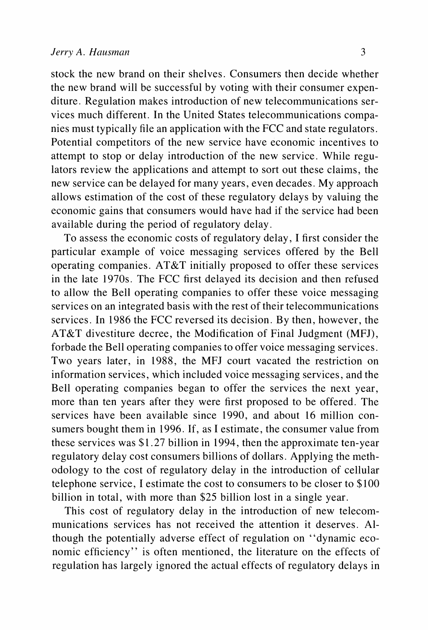**stock the new brand on their shelves. Consumers then decide whether the new brand will be successful by voting with their consumer expenditure. Regulation makes introduction of new telecommunications services much different. In the United States telecommunications companies must typically file an application with the FCC and state regulators. Potential competitors of the new service have economic incentives to attempt to stop or delay introduction of the new service. While regulators review the applications and attempt to sort out these claims, the new service can be delayed for many years, even decades. My approach allows estimation of the cost of these regulatory delays by valuing the economic gains that consumers would have had if the service had been available during the period of regulatory delay.** 

**To assess the economic costs of regulatory delay, I first consider the particular example of voice messaging services offered by the Bell operating companies. AT&T initially proposed to offer these services in the late 1970s. The FCC first delayed its decision and then refused to allow the Bell operating companies to offer these voice messaging services on an integrated basis with the rest of their telecommunications services. In 1986 the FCC reversed its decision. By then, however, the AT&T divestiture decree, the Modification of Final Judgment (MFJ), forbade the Bell operating companies to offer voice messaging services. Two years later, in 1988, the MFJ court vacated the restriction on information services, which included voice messaging services, and the Bell operating companies began to offer the services the next year, more than ten years after they were first proposed to be offered. The services have been available since 1990, and about 16 million consumers bought them in 1996. If, as I estimate, the consumer value from these services was \$1.27 billion in 1994, then the approximate ten-year regulatory delay cost consumers billions of dollars. Applying the methodology to the cost of regulatory delay in the introduction of cellular telephone service, I estimate the cost to consumers to be closer to \$100 billion in total, with more than \$25 billion lost in a single year.** 

**This cost of regulatory delay in the introduction of new telecommunications services has not received the attention it deserves. Although the potentially adverse effect of regulation on "dynamic economic efficiency" is often mentioned, the literature on the effects of regulation has largely ignored the actual effects of regulatory delays in**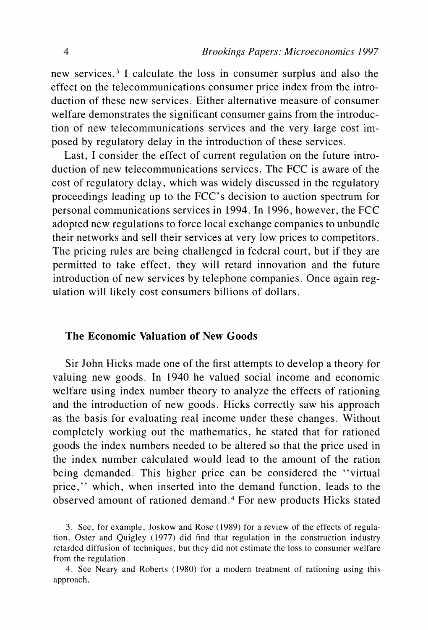**new services.3 I calculate the loss in consumer surplus and also the effect on the telecommunications consumer price index from the introduction of these new services. Either alternative measure of consumer welfare demonstrates the significant consumer gains from the introduction of new telecommunications services and the very large cost imposed by regulatory delay in the introduction of these services.** 

**Last, I consider the effect of current regulation on the future introduction of new telecommunications services. The FCC is aware of the cost of regulatory delay, which was widely discussed in the regulatory proceedings leading up to the FCC's decision to auction spectrum for personal communications services in 1994. In 1996, however, the FCC adopted new regulations to force local exchange companies to unbundle their networks and sell their services at very low prices to competitors. The pricing rules are being challenged in federal court, but if they are permitted to take effect, they will retard innovation and the future introduction of new services by telephone companies. Once again regulation will likely cost consumers billions of dollars.** 

## **The Economic Valuation of New Goods**

**Sir John Hicks made one of the first attempts to develop a theory for valuing new goods. In 1940 he valued social income and economic welfare using index number theory to analyze the effects of rationing and the introduction of new goods. Hicks correctly saw his approach as the basis for evaluating real income under these changes. Without completely working out the mathematics, he stated that for rationed goods the index numbers needed to be altered so that the price used in the index number calculated would lead to the amount of the ration being demanded. This higher price can be considered the "virtual price," which, when inserted into the demand function, leads to the observed amount of rationed demand.4 For new products Hicks stated** 

**<sup>3.</sup> See, for example, Joskow and Rose (1989) for a review of the effects of regulation. Oster and Quigley (1977) did find that regulation in the construction industry retarded diffusion of techniques, but they did not estimate the loss to consumer welfare from the regulation.** 

**<sup>4.</sup> See Neary and Roberts (1980) for a modern treatment of rationing using this approach.**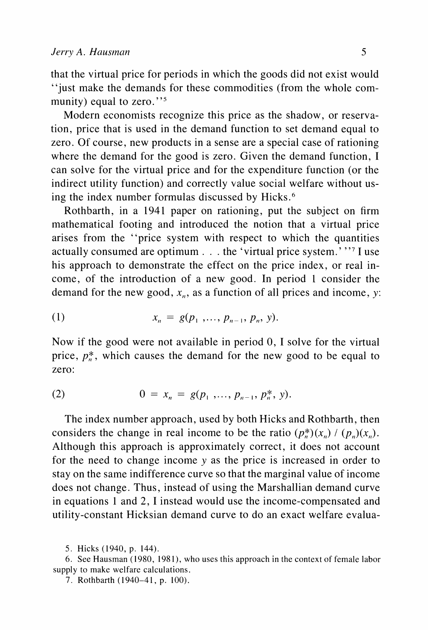**that the virtual price for periods in which the goods did not exist would "just make the demands for these commodities (from the whole com**munity) equal to zero."<sup>5</sup>

**Modern economists recognize this price as the shadow, or reservation, price that is used in the demand function to set demand equal to zero. Of course, new products in a sense are a special case of rationing where the demand for the good is zero. Given the demand function, I can solve for the virtual price and for the expenditure function (or the indirect utility function) and correctly value social welfare without using the index number formulas discussed by Hicks.6** 

**Rothbarth, in a 1941 paper on rationing, put the subject on firm mathematical footing and introduced the notion that a virtual price arises from the "price system with respect to which the quantities actually consumed are optimum . . . the 'virtual price system.' "7II use his approach to demonstrate the effect on the price index, or real income, of the introduction of a new good. In period 1 consider the**  demand for the new good,  $x_n$ , as a function of all prices and income, y:

(1) 
$$
x_n = g(p_1, ..., p_{n-1}, p_n, y).
$$

**Now if the good were not available in period 0, I solve for the virtual**  price,  $p_n^*$ , which causes the demand for the new good to be equal to **zero:** 

(2) 
$$
0 = x_n = g(p_1, ..., p_{n-1}, p_n^*, y).
$$

**The index number approach, used by both Hicks and Rothbarth, then**  considers the change in real income to be the ratio  $(p_n^*)(x_n) / (p_n)(x_n)$ . **Although this approach is approximately correct, it does not account for the need to change income y as the price is increased in order to stay on the same indifference curve so that the marginal value of income does not change. Thus, instead of using the Marshallian demand curve in equations 1 and 2, I instead would use the income-compensated and utility-constant Hicksian demand curve to do an exact welfare evalua-**

**<sup>5.</sup> Hicks (1940, p. 144).** 

**<sup>6.</sup> See Hausman (1980, 1981), who uses this approach in the context of female labor supply to make welfare calculations.** 

**<sup>7.</sup> Rothbarth (1940-41, p. 100).**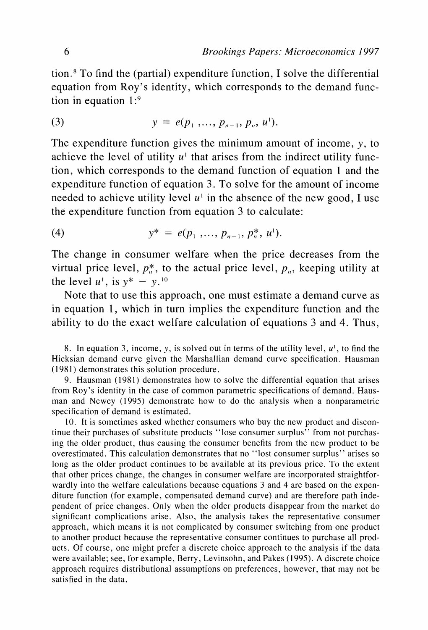**tion.8 To find the (partial) expenditure function, I solve the differential equation from Roy's identity, which corresponds to the demand function in equation 1:9** 

(3) 
$$
y = e(p_1, ..., p_{n-1}, p_n, u^1).
$$

**The expenditure function gives the minimum amount of income, y, to**  achieve the level of utility  $u^1$  that arises from the indirect utility func**tion, which corresponds to the demand function of equation 1 and the expenditure function of equation 3. To solve for the amount of income**  needed to achieve utility level  $u^1$  in the absence of the new good, I use **the expenditure function from equation 3 to calculate:** 

(4) 
$$
y^* = e(p_1, ..., p_{n-1}, p_n^*, u^t).
$$

**The change in consumer welfare when the price decreases from the**  virtual price level,  $p_n^*$ , to the actual price level,  $p_n$ , keeping utility at **the level**  $u^1$ **, is**  $y^* - y^{10}$ 

**Note that to use this approach, one must estimate a demand curve as in equation 1, which in turn implies the expenditure function and the ability to do the exact welfare calculation of equations 3 and 4. Thus,** 

8. In equation 3, income, y, is solved out in terms of the utility level,  $u^1$ , to find the **Hicksian demand curve given the Marshallian demand curve specification. Hausman (1981) demonstrates this solution procedure.** 

**9. Hausman (1981) demonstrates how to solve the differential equation that arises from Roy's identity in the case of common parametric specifications of demand. Hausman and Newey (1995) demonstrate how to do the analysis when a nonparametric specification of demand is estimated.** 

**10. It is sometimes asked whether consumers who buy the new product and discontinue their purchases of substitute products "lose consumer surplus" from not purchasing the older product, thus causing the consumer benefits from the new product to be overestimated. This calculation demonstrates that no "lost consumer surplus" arises so long as the older product continues to be available at its previous price. To the extent that other prices change, the changes in consumer welfare are incorporated straightforwardly into the welfare calculations because equations 3 and 4 are based on the expenditure function (for example, compensated demand curve) and are therefore path independent of price changes. Only when the older products disappear from the market do significant complications arise. Also, the analysis takes the representative consumer approach, which means it is not complicated by consumer switching from one product to another product because the representative consumer continues to purchase all products. Of course, one might prefer a discrete choice approach to the analysis if the data were available; see, for example, Berry, Levinsohn, and Pakes (1995). A discrete choice approach requires distributional assumptions on preferences, however, that may not be satisfied in the data.**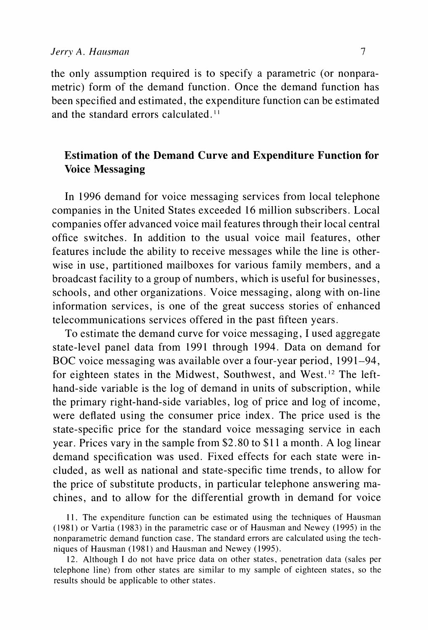**the only assumption required is to specify a parametric (or nonparametric) form of the demand function. Once the demand function has been specified and estimated, the expenditure function can be estimated**  and the standard errors calculated.<sup>11</sup>

# **Estimation of the Demand Curve and Expenditure Function for Voice Messaging**

**In 1996 demand for voice messaging services from local telephone companies in the United States exceeded 16 million subscribers. Local companies offer advanced voice mail features through their local central office switches. In addition to the usual voice mail features, other features include the ability to receive messages while the line is otherwise in use, partitioned mailboxes for various family members, and a broadcast facility to a group of numbers, which is useful for businesses, schools, and other organizations. Voice messaging, along with on-line information services, is one of the great success stories of enhanced telecommunications services offered in the past fifteen years.** 

**To estimate the demand curve for voice messaging, I used aggregate state-level panel data from 1991 through 1994. Data on demand for BOC voice messaging was available over a four-year period, 1991-94, for eighteen states in the Midwest, Southwest, and West. 2 The lefthand-side variable is the log of demand in units of subscription, while the primary right-hand-side variables, log of price and log of income, were deflated using the consumer price index. The price used is the state-specific price for the standard voice messaging service in each year. Prices vary in the sample from \$2.80 to \$1 1 a month. A log linear demand specification was used. Fixed effects for each state were included, as well as national and state-specific time trends, to allow for the price of substitute products, in particular telephone answering machines, and to allow for the differential growth in demand for voice** 

**<sup>11.</sup> The expenditure function can be estimated using the techniques of Hausman (1981) or Vartia (1983) in the parametric case or of Hausman and Newey (1995) in the nonparametric demand function case. The standard errors are calculated using the techniques of Hausman (1981) and Hausman and Newey (1995).** 

**<sup>12.</sup> Although I do not have price data on other states, penetration data (sales per telephone line) from other states are similar to my sample of eighteen states, so the results should be applicable to other states.**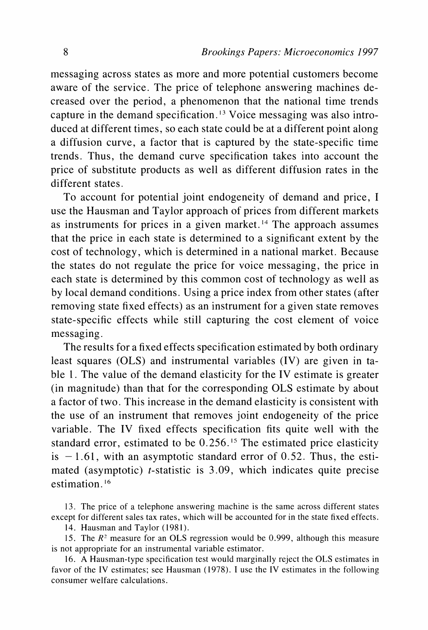**messaging across states as more and more potential customers become aware of the service. The price of telephone answering machines decreased over the period, a phenomenon that the national time trends capture in the demand specification.'3 Voice messaging was also introduced at different times, so each state could be at a different point along a diffusion curve, a factor that is captured by the state-specific time trends. Thus, the demand curve specification takes into account the price of substitute products as well as different diffusion rates in the different states.** 

**To account for potential joint endogeneity of demand and price, I use the Hausman and Taylor approach of prices from different markets as instruments for prices in a given market.'4 The approach assumes that the price in each state is determined to a significant extent by the cost of technology, which is determined in a national market. Because the states do not regulate the price for voice messaging, the price in each state is determined by this common cost of technology as well as by local demand conditions. Using a price index from other states (after removing state fixed effects) as an instrument for a given state removes state-specific effects while still capturing the cost element of voice messaging.** 

**The results for a fixed effects specification estimated by both ordinary least squares (OLS) and instrumental variables (IV) are given in table 1. The value of the demand elasticity for the IV estimate is greater (in magnitude) than that for the corresponding OLS estimate by about a factor of two. This increase in the demand elasticity is consistent with the use of an instrument that removes joint endogeneity of the price variable. The IV fixed effects specification fits quite well with the**  standard error, estimated to be 0.256.<sup>15</sup> The estimated price elasticity is  $-1.61$ , with an asymptotic standard error of 0.52. Thus, the esti**mated (asymptotic) t-statistic is 3.09, which indicates quite precise estimation. 16** 

**14. Hausman and Taylor (1981).** 

**15. The R2 measure for an OLS regression would be 0.999, although this measure is not appropriate for an instrumental variable estimator.** 

**16. A Hausman-type specification test would marginally reject the OLS estimates in favor of the IV estimates; see Hausman (1978). I use the IV estimates in the following consumer welfare calculations.** 

**<sup>13.</sup> The price of a telephone answering machine is the same across different states except for different sales tax rates, which will be accounted for in the state fixed effects.**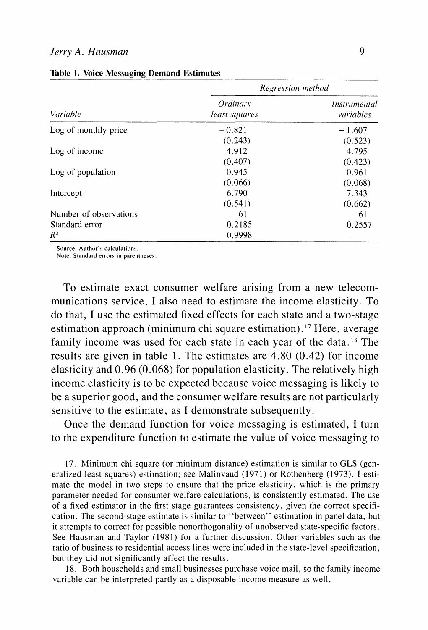#### **Jerry A. Hausman 9**

|                        | Regression method                |                                  |  |  |
|------------------------|----------------------------------|----------------------------------|--|--|
| Variable               | <i>Ordinary</i><br>least squares | <i>Instrumental</i><br>variables |  |  |
| Log of monthly price   | $-0.821$                         | $-1.607$                         |  |  |
|                        | (0.243)                          | (0.523)                          |  |  |
| Log of income          | 4.912                            | 4.795                            |  |  |
|                        | (0.407)                          | (0.423)                          |  |  |
| Log of population      | 0.945                            | 0.961                            |  |  |
|                        | (0.066)                          | (0.068)                          |  |  |
| Intercept              | 6.790                            | 7.343                            |  |  |
|                        | (0.541)                          | (0.662)                          |  |  |
| Number of observations | 61                               | 61                               |  |  |
| Standard error         | 0.2185                           | 0.2557                           |  |  |
| $R^2$                  | 0.9998                           |                                  |  |  |

**Table 1. Voice Messaging Demand Estimates** 

Source: Author's calculations.

Note: Standard errors in parentheses.

**To estimate exact consumer welfare arising from a new telecommunications service, I also need to estimate the income elasticity. To do that, I use the estimated fixed effects for each state and a two-stage estimation approach (minimum chi square estimation). 17 Here, average family income was used for each state in each year of the data. 8 The results are given in table 1. The estimates are 4.80 (0.42) for income elasticity and 0.96 (0.068) for population elasticity. The relatively high income elasticity is to be expected because voice messaging is likely to be a superior good, and the consumer welfare results are not particularly sensitive to the estimate, as I demonstrate subsequently.** 

**Once the demand function for voice messaging is estimated, I turn to the expenditure function to estimate the value of voice messaging to** 

**17. Minimum chi square (or minimum distance) estimation is similar to GLS (generalized least squares) estimation; see Malinvaud (1971) or Rothenberg (1973). I estimate the model in two steps to ensure that the price elasticity, which is the primary parameter needed for consumer welfare calculations, is consistently estimated. The use of a fixed estimator in the first stage guarantees consistency, given the correct specification. The second-stage estimate is similar to "between" estimation in panel data, but it attempts to correct for possible nonorthogonality of unobserved state-specific factors. See Hausman and Taylor (1981) for a further discussion. Other variables such as the ratio of business to residential access lines were included in the state-level specification, but they did not significantly affect the results.** 

**18. Both households and small businesses purchase voice mail, so the family income variable can be interpreted partly as a disposable income measure as well.**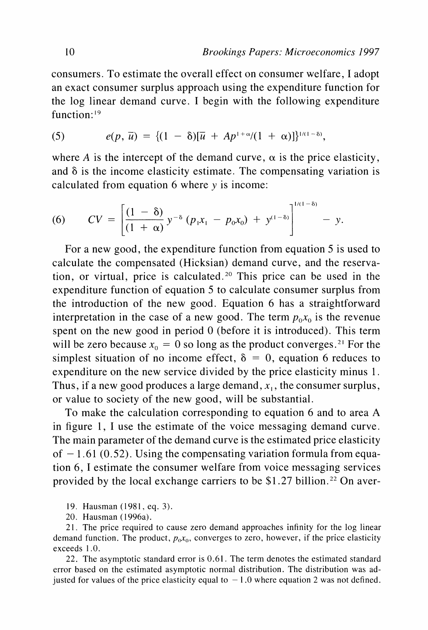**consumers. To estimate the overall effect on consumer welfare, I adopt an exact consumer surplus approach using the expenditure function for the log linear demand curve. I begin with the following expenditure function: '9** 

(5) 
$$
e(p, \bar{u}) = \{ (1 - \delta) [\bar{u} + Ap^{1+\alpha}/(1+\alpha)] \}^{1/(1-\delta)},
$$

where A is the intercept of the demand curve,  $\alpha$  is the price elasticity, **and 8 is the income elasticity estimate. The compensating variation is**  calculated from equation 6 where y is income:

(6) 
$$
CV = \left[\frac{(1-\delta)}{(1+\alpha)}y^{-\delta}(p_1x_1 - p_0x_0) + y^{(1-\delta)}\right]^{1/(1-\delta)} - y.
$$

**For a new good, the expenditure function from equation 5 is used to calculate the compensated (Hicksian) demand curve, and the reservation, or virtual, price is calculated.20 This price can be used in the expenditure function of equation 5 to calculate consumer surplus from the introduction of the new good. Equation 6 has a straightforward**  interpretation in the case of a new good. The term  $p_0x_0$  is the revenue **spent on the new good in period 0 (before it is introduced). This term**  will be zero because  $x_0 = 0$  so long as the product converges.<sup>21</sup> For the simplest situation of no income effect,  $\delta = 0$ , equation 6 reduces to **expenditure on the new service divided by the price elasticity minus 1.**  Thus, if a new good produces a large demand,  $x_1$ , the consumer surplus, **or value to society of the new good, will be substantial.** 

**To make the calculation corresponding to equation 6 and to area A in figure 1, I use the estimate of the voice messaging demand curve. The main parameter of the demand curve is the estimated price elasticity of - 1.61 (0.52). Using the compensating variation formula from equation 6, I estimate the consumer welfare from voice messaging services**  provided by the local exchange carriers to be \$1.27 billion.<sup>22</sup> On aver-

**19. Hausman (1981, eq. 3).** 

**20. Hausman (1 996a).** 

**21. The price required to cause zero demand approaches infinity for the log linear**  demand function. The product,  $p_0x_0$ , converges to zero, however, if the price elasticity **exceeds 1.0.** 

**22. The asymptotic standard error is 0.61. The term denotes the estimated standard error based on the estimated asymptotic normal distribution. The distribution was ad**justed for values of the price elasticity equal to  $-1.0$  where equation 2 was not defined.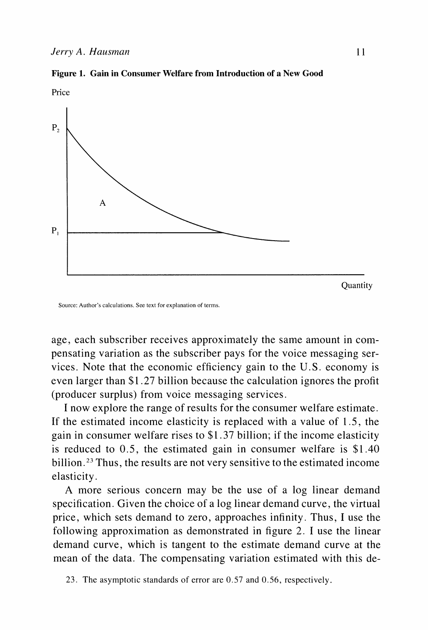





**Source: Author's calculations. See text for explanation of terms.** 

**age, each subscriber receives approximately the same amount in compensating variation as the subscriber pays for the voice messaging services. Note that the economic efficiency gain to the U.S. economy is even larger than \$1.27 billion because the calculation ignores the profit (producer surplus) from voice messaging services.** 

**I now explore the range of results for the consumer welfare estimate. If the estimated income elasticity is replaced with a value of 1.5, the gain in consumer welfare rises to \$1.37 billion; if the income elasticity is reduced to 0.5, the estimated gain in consumer welfare is \$1.40 billion.23 Thus, the results are not very sensitive to the estimated income elasticity.** 

**A more serious concern may be the use of a log linear demand specification. Given the choice of a log linear demand curve, the virtual price, which sets demand to zero, approaches infinity. Thus, I use the following approximation as demonstrated in figure 2. I use the linear demand curve, which is tangent to the estimate demand curve at the mean of the data. The compensating variation estimated with this de-**

**23. The asymptotic standards of error are 0.57 and 0.56, respectively.**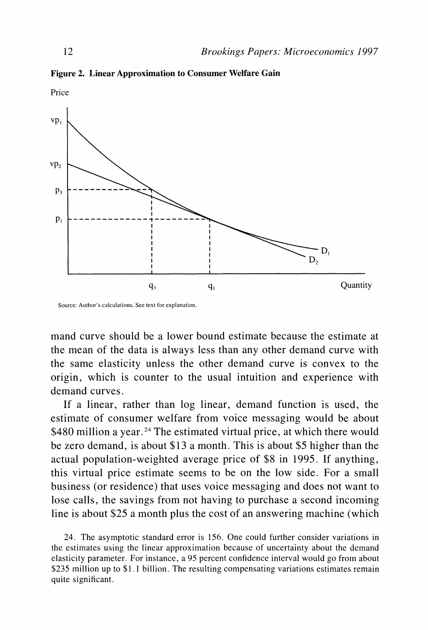**Figure 2. Linear Approximation to Consumer Welfare Gain** 



**Source: Author's calculations. See text for explanation.** 

**mand curve should be a lower bound estimate because the estimate at the mean of the data is always less than any other demand curve with the same elasticity unless the other demand curve is convex to the origin, which is counter to the usual intuition and experience with demand curves.** 

**If a linear, rather than log linear, demand function is used, the estimate of consumer welfare from voice messaging would be about**  \$480 million a year.<sup>24</sup> The estimated virtual price, at which there would **be zero demand, is about \$13 a month. This is about \$5 higher than the actual population-weighted average price of \$8 in 1995. If anything, this virtual price estimate seems to be on the low side. For a small business (or residence) that uses voice messaging and does not want to lose calls, the savings from not having to purchase a second incoming line is about \$25 a month plus the cost of an answering machine (which** 

**24. The asymptotic standard error is 156. One could further consider variations in the estimates using the linear approximation because of uncertainty about the demand elasticity parameter. For instance, a 95 percent confidence interval would go from about \$235 million up to \$1.1 billion. The resulting compensating variations estimates remain quite significant.**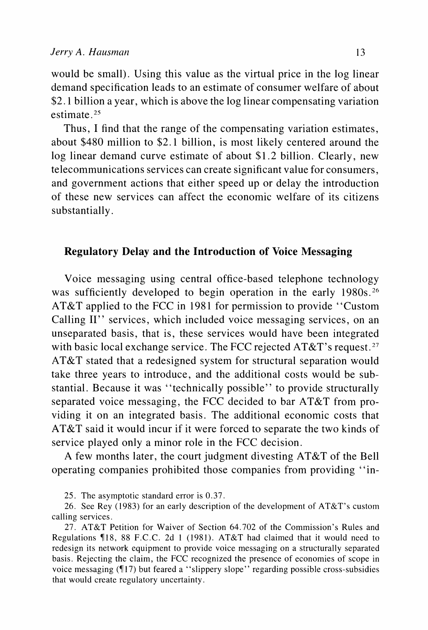**would be small). Using this value as the virtual price in the log linear demand specification leads to an estimate of consumer welfare of about \$2. 1 billion a year, which is above the log linear compensating variation estimate .25** 

**Thus, I find that the range of the compensating variation estimates, about \$480 million to \$2.1 billion, is most likely centered around the log linear demand curve estimate of about \$1.2 billion. Clearly, new telecommunications services can create significant value for consumers, and government actions that either speed up or delay the introduction of these new services can affect the economic welfare of its citizens substantially.** 

# **Regulatory Delay and the Introduction of Voice Messaging**

**Voice messaging using central office-based telephone technology was sufficiently developed to begin operation in the early 1980s. 6 AT&T applied to the FCC in 1981 for permission to provide "Custom Calling II" services, which included voice messaging services, on an unseparated basis, that is, these services would have been integrated with basic local exchange service. The FCC rejected AT&T's request.27 AT&T stated that a redesigned system for structural separation would take three years to introduce, and the additional costs would be substantial. Because it was "technically possible" to provide structurally separated voice messaging, the FCC decided to bar AT&T from providing it on an integrated basis. The additional economic costs that AT&T said it would incur if it were forced to separate the two kinds of service played only a minor role in the FCC decision.** 

**A few months later, the court judgment divesting AT&T of the Bell operating companies prohibited those companies from providing "in-**

**25. The asymptotic standard error is 0.37.** 

**26. See Rey (1983) for an early description of the development of AT&T's custom calling services.** 

**27. AT&T Petition for Waiver of Section 64.702 of the Commission's Rules and Regulations ?18, 88 F.C.C. 2d 1 (1981). AT&T had claimed that it would need to redesign its network equipment to provide voice messaging on a structurally separated basis. Rejecting the claim, the FCC recognized the presence of economies of scope in voice messaging (T17) but feared a "slippery slope" regarding possible cross-subsidies that would create regulatory uncertainty.**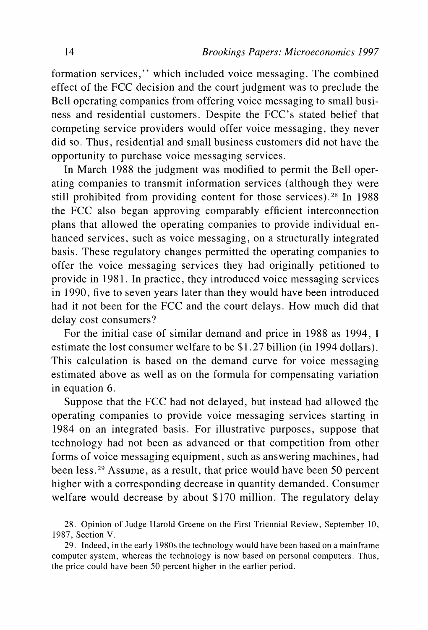**formation services," which included voice messaging. The combined effect of the FCC decision and the court judgment was to preclude the Bell operating companies from offering voice messaging to small business and residential customers. Despite the FCC's stated belief that competing service providers would offer voice messaging, they never did so. Thus, residential and small business customers did not have the opportunity to purchase voice messaging services.** 

**In March 1988 the judgment was modified to permit the Bell operating companies to transmit information services (although they were still prohibited from providing content for those services).28 In 1988 the FCC also began approving comparably efficient interconnection plans that allowed the operating companies to provide individual enhanced services, such as voice messaging, on a structurally integrated basis. These regulatory changes permitted the operating companies to offer the voice messaging services they had originally petitioned to provide in 1981. In practice, they introduced voice messaging services in 1990, five to seven years later than they would have been introduced had it not been for the FCC and the court delays. How much did that delay cost consumers?** 

**For the initial case of similar demand and price in 1988 as 1994, I estimate the lost consumer welfare to be \$1.27 billion (in 1994 dollars). This calculation is based on the demand curve for voice messaging estimated above as well as on the formula for compensating variation in equation 6.** 

**Suppose that the FCC had not delayed, but instead had allowed the operating companies to provide voice messaging services starting in 1984 on an integrated basis. For illustrative purposes, suppose that technology had not been as advanced or that competition from other forms of voice messaging equipment, such as answering machines, had been less.29 Assume, as a result, that price would have been 50 percent higher with a corresponding decrease in quantity demanded. Consumer welfare would decrease by about \$170 million. The regulatory delay** 

**28. Opinion of Judge Harold Greene on the First Triennial Review, September 10, 1987, Section V.** 

**29. Indeed, in the early 1980s the technology would have been based on a mainframe computer system, whereas the technology is now based on personal computers. Thus, the price could have been 50 percent higher in the earlier period.**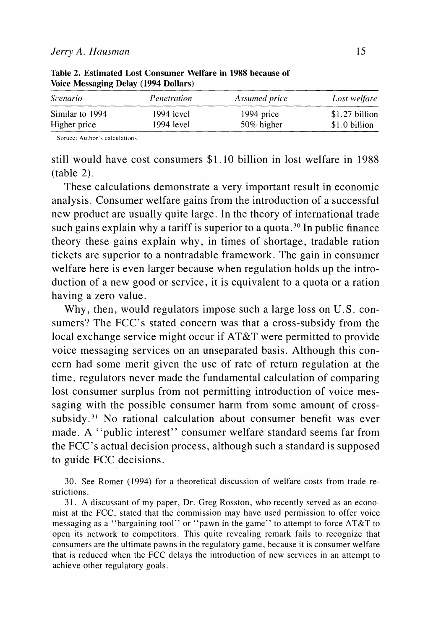| <i>Scenario</i> | Penetration | Assumed price | Lost welfare   |
|-----------------|-------------|---------------|----------------|
| Similar to 1994 | 1994 level  | 1994 price    | \$1.27 billion |
| Higher price    | 1994 level  | 50% higher    | \$1.0 billion  |

**Table 2. Estimated Lost Consumer Welfare in 1988 because of Voice Messaging Delay (1994 Dollars)** 

Soruce: Author's calculations.

**still would have cost consumers \$1. 10 billion in lost welfare in 1988 (table 2).** 

**These calculations demonstrate a very important result in economic analysis. Consumer welfare gains from the introduction of a successful new product are usually quite large. In the theory of international trade such gains explain why a tariff is superior to a quota.30 In public finance theory these gains explain why, in times of shortage, tradable ration tickets are superior to a nontradable framework. The gain in consumer welfare here is even larger because when regulation holds up the introduction of a new good or service, it is equivalent to a quota or a ration having a zero value.** 

**Why, then, would regulators impose such a large loss on U.S. consumers? The FCC's stated concern was that a cross-subsidy from the local exchange service might occur if AT&T were permitted to provide voice messaging services on an unseparated basis. Although this concern had some merit given the use of rate of return regulation at the time, regulators never made the fundamental calculation of comparing lost consumer surplus from not permitting introduction of voice messaging with the possible consumer harm from some amount of crosssubsidy.3' No rational calculation about consumer benefit was ever made. A "public interest" consumer welfare standard seems far from the FCC's actual decision process, although such a standard is supposed to guide FCC decisions.** 

**30. See Romer (1994) for a theoretical discussion of welfare costs from trade restrictions.** 

**31. A discussant of my paper, Dr. Greg Rosston, who recently served as an economist at the FCC, stated that the commission may have used permission to offer voice messaging as a "bargaining tool" or "pawn in the game" to attempt to force AT&T to open its network to competitors. This quite revealing remark fails to recognize that consumers are the ultimate pawns in the regulatory game, because it is consumer welfare that is reduced when the FCC delays the introduction of new services in an attempt to achieve other regulatory goals.**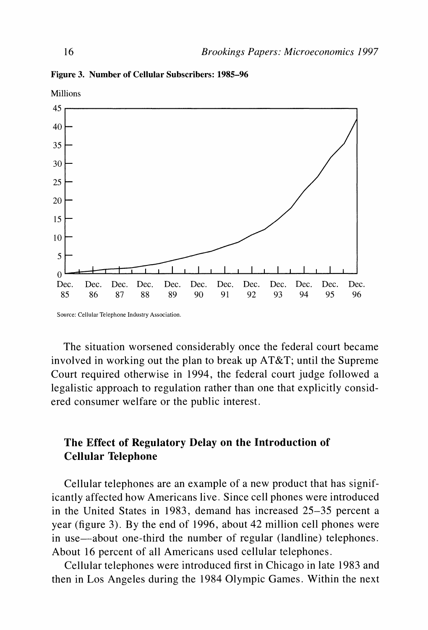

**Figure 3. Number of Cellular Subscribers: 1985-96** 

**Source: Cellular Telephone Industry Association.** 

**The situation worsened considerably once the federal court became involved in working out the plan to break up AT&T; until the Supreme Court required otherwise in 1994, the federal court judge followed a legalistic approach to regulation rather than one that explicitly considered consumer welfare or the public interest.** 

# **The Effect of Regulatory Delay on the Introduction of Cellular Telephone**

**Cellular telephones are an example of a new product that has significantly affected how Americans live. Since cell phones were introduced in the United States in 1983, demand has increased 25-35 percent a year (figure 3). By the end of 1996, about 42 million cell phones were**  in use—about one-third the number of regular (landline) telephones. **About 16 percent of all Americans used cellular telephones.** 

**Cellular telephones were introduced first in Chicago in late 1983 and then in Los Angeles during the 1984 Olympic Games. Within the next** 

**Millions**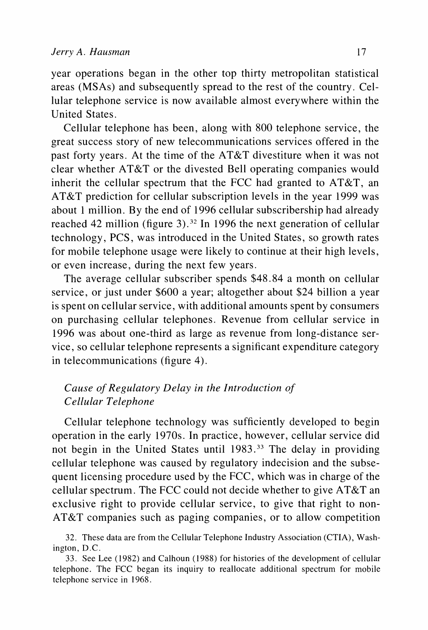**year operations began in the other top thirty metropolitan statistical areas (MSAs) and subsequently spread to the rest of the country. Cellular telephone service is now available almost everywhere within the United States.** 

**Cellular telephone has been, along with 800 telephone service, the great success story of new telecommunications services offered in the past forty years. At the time of the AT&T divestiture when it was not clear whether AT&T or the divested Bell operating companies would inherit the cellular spectrum that the FCC had granted to AT&T, an AT&T prediction for cellular subscription levels in the year 1999 was about 1 million. By the end of 1996 cellular subscribership had already reached 42 million (figure 3).32 In 1996 the next generation of cellular technology, PCS, was introduced in the United States, so growth rates for mobile telephone usage were likely to continue at their high levels, or even increase, during the next few years.** 

**The average cellular subscriber spends \$48.84 a month on cellular service, or just under \$600 a year; altogether about \$24 billion a year is spent on cellular service, with additional amounts spent by consumers on purchasing cellular telephones. Revenue from cellular service in 1996 was about one-third as large as revenue from long-distance service, so cellular telephone represents a significant expenditure category in telecommunications (figure 4).** 

# **Cause of Regulatory Delay in the Introduction of Cellular Telephone**

**Cellular telephone technology was sufficiently developed to begin operation in the early 1970s. In practice, however, cellular service did not begin in the United States until 1983.33 The delay in providing cellular telephone was caused by regulatory indecision and the subsequent licensing procedure used by the FCC, which was in charge of the cellular spectrum. The FCC could not decide whether to give AT&T an exclusive right to provide cellular service, to give that right to non-AT&T companies such as paging companies, or to allow competition** 

**<sup>32.</sup> These data are from the Cellular Telephone Industry Association (CTIA), Washington, D.C.** 

**<sup>33.</sup> See Lee (1982) and Calhoun (1988) for histories of the development of cellular telephone. The FCC began its inquiry to reallocate additional spectrum for mobile telephone service in 1968.**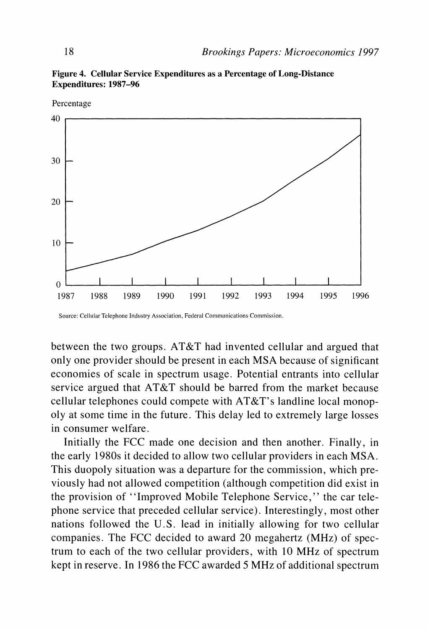

**Figure 4. Cellular Service Expenditures as a Percentage of Long-Distance Expenditures: 1987-96** 

**between the two groups. AT&T had invented cellular and argued that only one provider should be present in each MSA because of significant economies of scale in spectrum usage. Potential entrants into cellular service argued that AT&T should be barred from the market because cellular telephones could compete with AT&T's landline local monopoly at some time in the future. This delay led to extremely large losses in consumer welfare.** 

**Initially the FCC made one decision and then another. Finally, in the early 1980s it decided to allow two cellular providers in each MSA. This duopoly situation was a departure for the commission, which previously had not allowed competition (although competition did exist in the provision of "Improved Mobile Telephone Service," the car telephone service that preceded cellular service). Interestingly, most other nations followed the U.S. lead in initially allowing for two cellular companies. The FCC decided to award 20 megahertz (MHz) of spectrum to each of the two cellular providers, with 10 MHz of spectrum kept in reserve. In 1986 the FCC awarded 5 MHz of additional spectrum** 

**Source: Cellular Telephone Industry Association, Federal Communications Commission.**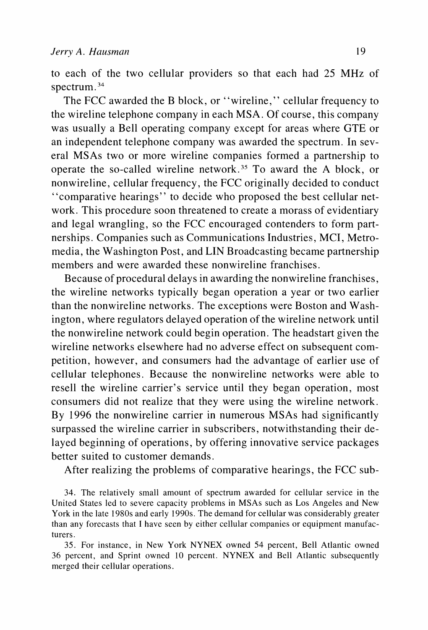**to each of the two cellular providers so that each had 25 MHz of spectrum.** 

**The FCC awarded the B block, or "wireline," cellular frequency to the wireline telephone company in each MSA. Of course, this company was usually a Bell operating company except for areas where GTE or an independent telephone company was awarded the spectrum. In several MSAs two or more wireline companies formed a partnership to operate the so-called wireline network.35 To award the A block, or nonwireline, cellular frequency, the FCC originally decided to conduct ''comparative hearings" to decide who proposed the best cellular network. This procedure soon threatened to create a morass of evidentiary and legal wrangling, so the FCC encouraged contenders to form partnerships. Companies such as Communications Industries, MCI, Metromedia, the Washington Post, and LIN Broadcasting became partnership members and were awarded these nonwireline franchises.** 

**Because of procedural delays in awarding the nonwireline franchises, the wireline networks typically began operation a year or two earlier than the nonwireline networks. The exceptions were Boston and Washington, where regulators delayed operation of the wireline network until the nonwireline network could begin operation. The headstart given the wireline networks elsewhere had no adverse effect on subsequent competition, however, and consumers had the advantage of earlier use of cellular telephones. Because the nonwireline networks were able to resell the wireline carrier's service until they began operation, most consumers did not realize that they were using the wireline network. By 1996 the nonwireline carrier in numerous MSAs had significantly surpassed the wireline carrier in subscribers, notwithstanding their delayed beginning of operations, by offering innovative service packages better suited to customer demands.** 

**After realizing the problems of comparative hearings, the FCC sub-**

**34. The relatively small amount of spectrum awarded for cellular service in the United States led to severe capacity problems in MSAs such as Los Angeles and New York in the late 1980s and early 1990s. The demand for cellular was considerably greater than any forecasts that I have seen by either cellular companies or equipment manufacturers.** 

**35. For instance, in New York NYNEX owned 54 percent, Bell Atlantic owned 36 percent, and Sprint owned 10 percent. NYNEX and Bell Atlantic subsequently merged their cellular operations.**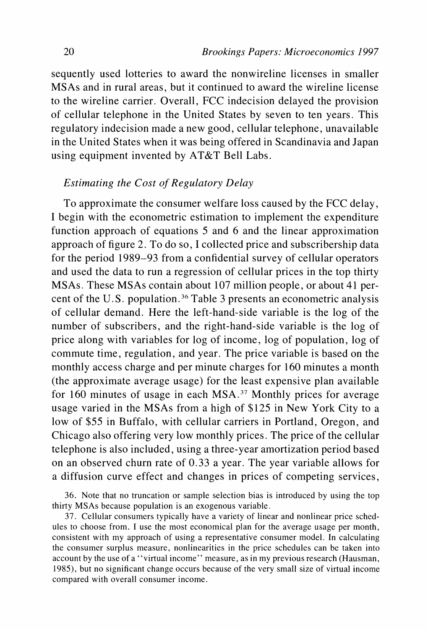**sequently used lotteries to award the nonwireline licenses in smaller MSAs and in rural areas, but it continued to award the wireline license to the wireline carrier. Overall, FCC indecision delayed the provision of cellular telephone in the United States by seven to ten years. This regulatory indecision made a new good, cellular telephone, unavailable in the United States when it was being offered in Scandinavia and Japan using equipment invented by AT&T Bell Labs.** 

# **Estimating the Cost of Regulatory Delay**

**To approximate the consumer welfare loss caused by the FCC delay, I begin with the econometric estimation to implement the expenditure function approach of equations 5 and 6 and the linear approximation approach of figure 2. To do so, I collected price and subscribership data for the period 1989-93 from a confidential survey of cellular operators and used the data to run a regression of cellular prices in the top thirty MSAs. These MSAs contain about 107 million people, or about 41 percent of the U.S. population.36 Table 3 presents an econometric analysis of cellular demand. Here the left-hand-side variable is the log of the number of subscribers, and the right-hand-side variable is the log of price along with variables for log of income, log of population, log of commute time, regulation, and year. The price variable is based on the monthly access charge and per minute charges for 160 minutes a month (the approximate average usage) for the least expensive plan available for 160 minutes of usage in each MSA.37 Monthly prices for average usage varied in the MSAs from a high of \$125 in New York City to a low of \$55 in Buffalo, with cellular carriers in Portland, Oregon, and Chicago also offering very low monthly prices. The price of the cellular telephone is also included, using a three-year amortization period based on an observed churn rate of 0.33 a year. The year variable allows for a diffusion curve effect and changes in prices of competing services,** 

**37. Cellular consumers typically have a variety of linear and nonlinear price schedules to choose from. I use the most economical plan for the average usage per month, consistent with my approach of using a representative consumer model. In calculating the consumer surplus measure, nonlinearities in the price schedules can be taken into account by the use of a "virtual income" measure, as in my previous research (Hausman, 1985), but no significant change occurs because of the very small size of virtual income compared with overall consumer income.** 

**<sup>36.</sup> Note that no truncation or sample selection bias is introduced by using the top thirty MSAs because population is an exogenous variable.**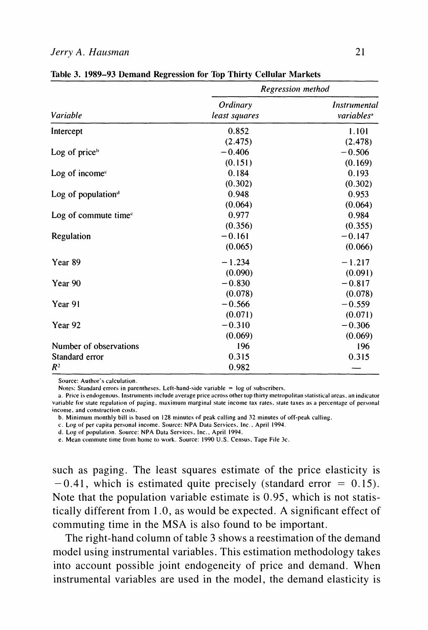#### **Jerry A. Hausman 21**

|                                | Regression method         |                                        |  |  |
|--------------------------------|---------------------------|----------------------------------------|--|--|
| Variable                       | Ordinary<br>least squares | Instrumental<br>variables <sup>®</sup> |  |  |
| Intercept                      | 0.852                     | 1.101                                  |  |  |
|                                | (2.475)                   | (2.478)                                |  |  |
| Log of price $b$               | $-0.406$                  | $-0.506$                               |  |  |
|                                | (0.151)                   | (0.169)                                |  |  |
| Log of income $\epsilon$       | 0.184                     | 0.193                                  |  |  |
|                                | (0.302)                   | (0.302)                                |  |  |
| Log of population $d$          | 0.948                     | 0.953                                  |  |  |
|                                | (0.064)                   | (0.064)                                |  |  |
| Log of commute time $\epsilon$ | 0.977                     | 0.984                                  |  |  |
|                                | (0.356)                   | (0.355)                                |  |  |
| Regulation                     | $-0.161$                  | $-0.147$                               |  |  |
|                                | (0.065)                   | (0.066)                                |  |  |
| Year 89                        | $-1.234$                  | $-1.217$                               |  |  |
|                                | (0.090)                   | (0.091)                                |  |  |
| Year 90                        | $-0.830$                  | $-0.817$                               |  |  |
|                                | (0.078)                   | (0.078)                                |  |  |
| Year 91                        | $-0.566$                  | $-0.559$                               |  |  |
|                                | (0.071)                   | (0.071)                                |  |  |
| Year <sub>92</sub>             | $-0.310$                  | $-0.306$                               |  |  |
|                                | (0.069)                   | (0.069)                                |  |  |
| Number of observations         | 196                       | 196                                    |  |  |
| Standard error                 | 0.315                     | 0.315                                  |  |  |
| $R^2$                          | 0.982                     |                                        |  |  |

|  |  | Table 3. 1989-93 Demand Regression for Top Thirty Cellular Markets |  |  |
|--|--|--------------------------------------------------------------------|--|--|
|  |  |                                                                    |  |  |

**Source: Author's calculation.** 

Notes: Standard errors in parentheses. Left-hand-side variable  $=$  log of subscribers.

a. Price is endogenous. Instruments include average price across other top thirty metropolitan statistical areas, an indicator **variable for state regulation of paging. maximum miarginal state income tax rates. state taxes as a percentage of personal**  income, and construction costs.

**b. Minimum monthly bill is based on 128 minutes of peak calling and 32 minutes of off-peak calling.** 

**c. Log of per capita personal income. Source: NPA Data Seivices. Inc.. April 1994.** 

**d. Log of population. Source: NPA Data Services. Inc.. April 1994.** 

e. Mean commute time from home to work. Source: 1990 U.S. Census, Tape File 3c.

**such as paging. The least squares estimate of the price elasticity is**   $-0.41$ , which is estimated quite precisely (standard error  $= 0.15$ ). **Note that the population variable estimate is 0.95, which is not statistically different from 1.0, as would be expected. A significant effect of commuting time in the MSA is also found to be important.** 

**The right-hand column of table 3 shows a reestimation of the demand model using instrumental variables. This estimation methodology takes into account possible joint endogeneity of price and demand. When instrumental variables are used in the model, the demand elasticity is**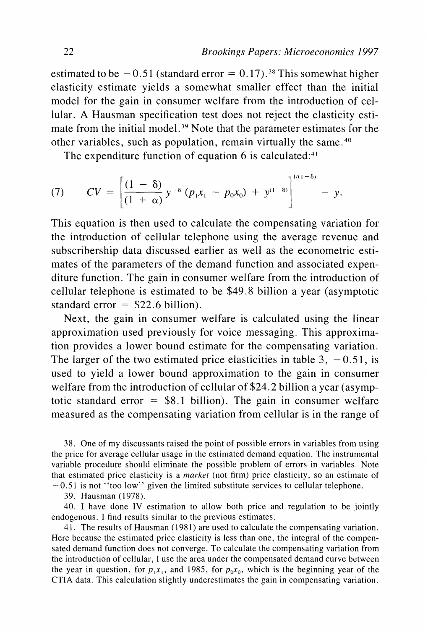estimated to be  $-0.51$  (standard error  $= 0.17$ ).<sup>38</sup> This somewhat higher **elasticity estimate yields a somewhat smaller effect than the initial model for the gain in consumer welfare from the introduction of cellular. A Hausman specification test does not reject the elasticity esti**mate from the initial model.<sup>39</sup> Note that the parameter estimates for the **other variables, such as population, remain virtually the same.40** 

**The expenditure function of equation 6 is calculated:41** 

(7) 
$$
CV = \left[\frac{(1-\delta)}{(1+\alpha)}y^{-\delta}(p_1x_1 - p_0x_0) + y^{(1-\delta)}\right]^{1/(1-\delta)} - y.
$$

**This equation is then used to calculate the compensating variation for the introduction of cellular telephone using the average revenue and subscribership data discussed earlier as well as the econometric estimates of the parameters of the demand function and associated expenditure function. The gain in consumer welfare from the introduction of cellular telephone is estimated to be \$49.8 billion a year (asymptotic standard error = \$22.6 billion).** 

**Next, the gain in consumer welfare is calculated using the linear approximation used previously for voice messaging. This approximation provides a lower bound estimate for the compensating variation.**  The larger of the two estimated price elasticities in table  $3, -0.51$ , is **used to yield a lower bound approximation to the gain in consumer welfare from the introduction of cellular of \$24.2 billion a year (asymptotic standard error = \$8.1 billion). The gain in consumer welfare measured as the compensating variation from cellular is in the range of** 

**38. One of my discussants raised the point of possible errors in variables from using the price for average cellular usage in the estimated demand equation. The instrumental variable procedure should eliminate the possible problem of errors in variables. Note that estimated price elasticity is a market (not firm) price elasticity, so an estimate of -0.51 is not "too low" given the limited substitute services to cellular telephone.** 

**39. Hausman (1978).** 

**40. I have done IV estimation to allow both price and regulation to be jointly endogenous. I find results similar to the previous estimates.** 

**41. The results of Hausman (1981) are used to calculate the compensating variation. Here because the estimated price elasticity is less than one, the integral of the compensated demand function does not converge. To calculate the compensating variation from the introduction of cellular, I use the area under the compensated demand curve between**  the year in question, for  $p_1x_1$ , and 1985, for  $p_0x_0$ , which is the beginning year of the **CTIA data. This calculation slightly underestimates the gain in compensating variation.**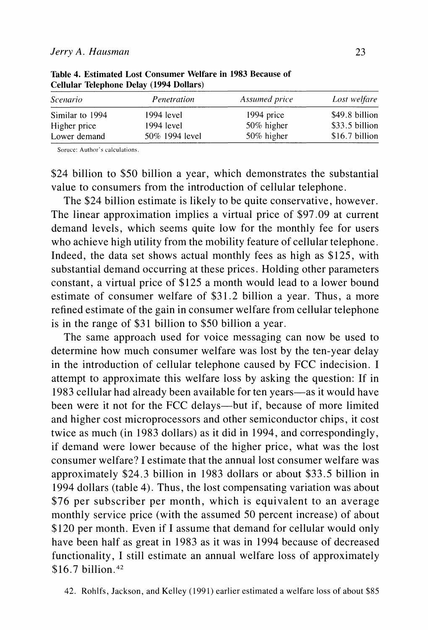| <i>Scenario</i> | Penetration    | Assumed price | Lost welfare   |
|-----------------|----------------|---------------|----------------|
| Similar to 1994 | 1994 level     | 1994 price    | \$49.8 billion |
| Higher price    | $1994$ level   | 50% higher    | \$33.5 billion |
| Lower demand    | 50% 1994 level | 50% higher    | \$16.7 billion |

**Table 4. Estimated Lost Consumer Welfare in 1983 Because of Cellular Telephone Delay (1994 Dollars)** 

Soruce: Author's calculations.

**\$24 billion to \$50 billion a year, which demonstrates the substantial value to consumers from the introduction of cellular telephone.** 

**The \$24 billion estimate is likely to be quite conservative, however. The linear approximation implies a virtual price of \$97.09 at current demand levels, which seems quite low for the monthly fee for users who achieve high utility from the mobility feature of cellular telephone. Indeed, the data set shows actual monthly fees as high as \$125, with substantial demand occurring at these prices. Holding other parameters constant, a virtual price of \$125 a month would lead to a lower bound estimate of consumer welfare of \$31.2 billion a year. Thus, a more refined estimate of the gain in consumer welfare from cellular telephone is in the range of \$31 billion to \$50 billion a year.** 

**The same approach used for voice messaging can now be used to determine how much consumer welfare was lost by the ten-year delay in the introduction of cellular telephone caused by FCC indecision. I attempt to approximate this welfare loss by asking the question: If in 1983 cellular had already been available for ten years-as it would have been were it not for the FCC delays-but if, because of more limited and higher cost microprocessors and other semiconductor chips, it cost twice as much (in 1983 dollars) as it did in 1994, and correspondingly, if demand were lower because of the higher price, what was the lost consumer welfare? I estimate that the annual lost consumer welfare was approximately \$24.3 billion in 1983 dollars or about \$33.5 billion in 1994 dollars (table 4). Thus, the lost compensating variation was about \$76 per subscriber per month, which is equivalent to an average monthly service price (with the assumed 50 percent increase) of about \$120 per month. Even if I assume that demand for cellular would only have been half as great in 1983 as it was in 1994 because of decreased functionality, I still estimate an annual welfare loss of approximately \$16.7 billion.42** 

**<sup>42.</sup> Rohlfs, Jackson, and Kelley (1991) earlier estimated a welfare loss of about \$85**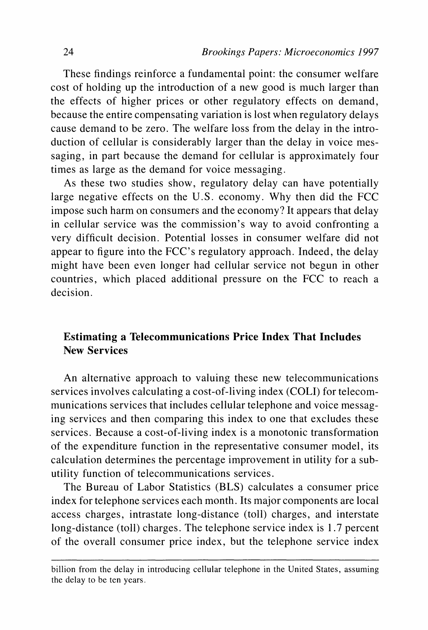**These findings reinforce a fundamental point: the consumer welfare cost of holding up the introduction of a new good is much larger than the effects of higher prices or other regulatory effects on demand, because the entire compensating variation is lost when regulatory delays cause demand to be zero. The welfare loss from the delay in the introduction of cellular is considerably larger than the delay in voice messaging, in part because the demand for cellular is approximately four times as large as the demand for voice messaging.** 

**As these two studies show, regulatory delay can have potentially large negative effects on the U.S. economy. Why then did the FCC impose such harm on consumers and the economy? It appears that delay in cellular service was the commission's way to avoid confronting a very difficult decision. Potential losses in consumer welfare did not appear to figure into the FCC's regulatory approach. Indeed, the delay might have been even longer had cellular service not begun in other countries, which placed additional pressure on the FCC to reach a decision.** 

# **Estimating a Telecommunications Price Index That Includes New Services**

**An alternative approach to valuing these new telecommunications services involves calculating a cost-of-living index (COLI) for telecommunications services that includes cellular telephone and voice messaging services and then comparing this index to one that excludes these services. Because a cost-of-living index is a monotonic transformation of the expenditure function in the representative consumer model, its calculation determines the percentage improvement in utility for a subutility function of telecommunications services.** 

**The Bureau of Labor Statistics (BLS) calculates a consumer price index for telephone services each month. Its major components are local access charges, intrastate long-distance (toll) charges, and interstate long-distance (toll) charges. The telephone service index is 1.7 percent of the overall consumer price index, but the telephone service index** 

**billion from the delay in introducing cellular telephone in the United States, assuming the delay to be ten years.**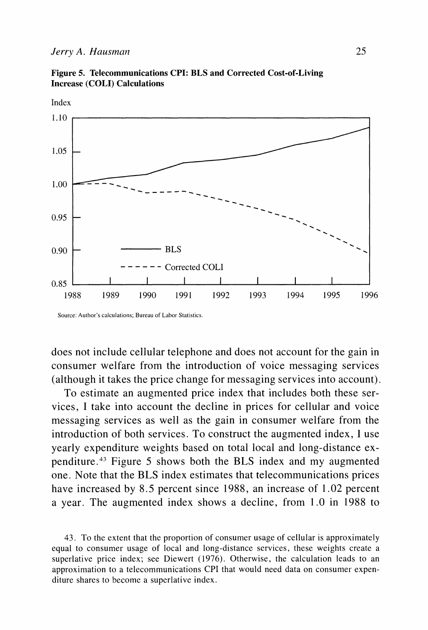

**Figure 5. Telecommunications CPI: BLS and Corrected Cost-of-Living Increase (COLI) Calculations** 

**Source: Author's calculations; Bureau of Labor Statistics.** 

**does not include cellular telephone and does not account for the gain in consumer welfare from the introduction of voice messaging services (although it takes the price change for messaging services into account).** 

**To estimate an augmented price index that includes both these services, I take into account the decline in prices for cellular and voice messaging services as well as the gain in consumer welfare from the introduction of both services. To construct the augmented index, I use yearly expenditure weights based on total local and long-distance expenditure.43 Figure 5 shows both the BLS index and my augmented one. Note that the BLS index estimates that telecommunications prices have increased by 8.5 percent since 1988, an increase of 1.02 percent a year. The augmented index shows a decline, from 1.0 in 1988 to** 

**43. To the extent that the proportion of consumer usage of cellular is approximately equal to consumer usage of local and long-distance services, these weights create a superlative price index; see Diewert (1976). Otherwise, the calculation leads to an approximation to a telecommunications CPI that would need data on consumer expenditure shares to become a superlative index.**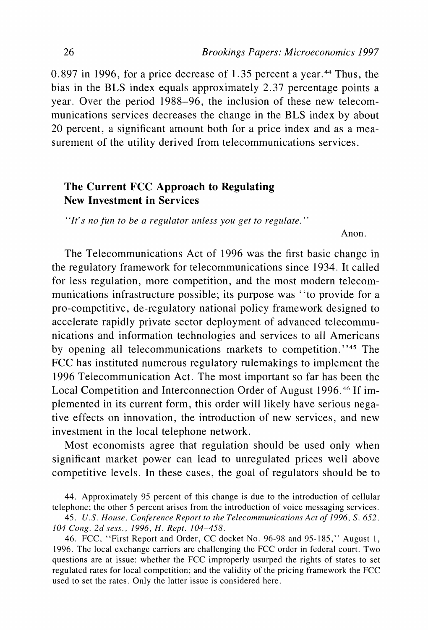0.897 in 1996, for a price decrease of 1.35 percent a year.<sup>44</sup> Thus, the **bias in the BLS index equals approximately 2.37 percentage points a year. Over the period 1988-96, the inclusion of these new telecommunications services decreases the change in the BLS index by about 20 percent, a significant amount both for a price index and as a measurement of the utility derived from telecommunications services.** 

# **The Current FCC Approach to Regulating New Investment in Services**

**"It's no fun to be a regulator unless you get to regulate."** 

**Anon.** 

**The Telecommunications Act of 1996 was the first basic change in the regulatory framework for telecommunications since 1934. It called for less regulation, more competition, and the most modern telecommunications infrastructure possible; its purpose was "to provide for a pro-competitive, de-regulatory national policy framework designed to accelerate rapidly private sector deployment of advanced telecommunications and information technologies and services to all Americans by opening all telecommunications markets to competition."45 The FCC has instituted numerous regulatory rulemakings to implement the 1996 Telecommunication Act. The most important so far has been the Local Competition and Interconnection Order of August 1996.46 If implemented in its current form, this order will likely have serious negative effects on innovation, the introduction of new services, and new investment in the local telephone network.** 

**Most economists agree that regulation should be used only when significant market power can lead to unregulated prices well above competitive levels. In these cases, the goal of regulators should be to** 

**44. Approximately 95 percent of this change is due to the introduction of cellular telephone; the other 5 percent arises from the introduction of voice messaging services.** 

45. U.S. House. Conference Report to the Telecommunications Act of 1996, S. 652. **104 Cong. 2d sess., 1996, H. Rept. 104-458.** 

**46. FCC, "First Report and Order, CC docket No. 96-98 and 95-185," August 1, 1996. The local exchange carriers are challenging the FCC order in federal court. Two questions are at issue: whether the FCC improperly usurped the rights of states to set regulated rates for local competition; and the validity of the pricing framework the FCC used to set the rates. Only the latter issue is considered here.**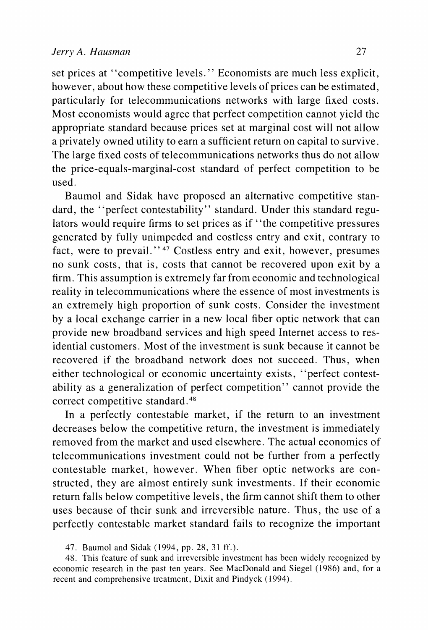**set prices at "competitive levels." Economists are much less explicit, however, about how these competitive levels of prices can be estimated, particularly for telecommunications networks with large fixed costs. Most economists would agree that perfect competition cannot yield the appropriate standard because prices set at marginal cost will not allow a privately owned utility to earn a sufficient return on capital to survive. The large fixed costs of telecommunications networks thus do not allow the price-equals-marginal-cost standard of perfect competition to be used.** 

**Baumol and Sidak have proposed an alternative competitive standard, the "perfect contestability" standard. Under this standard regulators would require firms to set prices as if "the competitive pressures generated by fully unimpeded and costless entry and exit, contrary to fact, were to prevail. " 47 Costless entry and exit, however, presumes no sunk costs, that is, costs that cannot be recovered upon exit by a firm. This assumption is extremely far from economic and technological reality in telecommunications where the essence of most investments is an extremely high proportion of sunk costs. Consider the investment by a local exchange carrier in a new local fiber optic network that can provide new broadband services and high speed Internet access to residential customers. Most of the investment is sunk because it cannot be recovered if the broadband network does not succeed. Thus, when either technological or economic uncertainty exists, "perfect contestability as a generalization of perfect competition" cannot provide the correct competitive standard.48** 

**In a perfectly contestable market, if the return to an investment decreases below the competitive return, the investment is immediately removed from the market and used elsewhere. The actual economics of telecommunications investment could not be further from a perfectly contestable market, however. When fiber optic networks are constructed, they are almost entirely sunk investments. If their economic return falls below competitive levels, the firm cannot shift them to other uses because of their sunk and irreversible nature. Thus, the use of a perfectly contestable market standard fails to recognize the important** 

**<sup>47.</sup> Baumol and Sidak (1994, pp. 28, 31 ff.).** 

**<sup>48.</sup> This feature of sunk and irreversible investment has been widely recognized by economic research in the past ten years. See MacDonald and Siegel (1986) and, for a recent and comprehensive treatment, Dixit and Pindyck (1994).**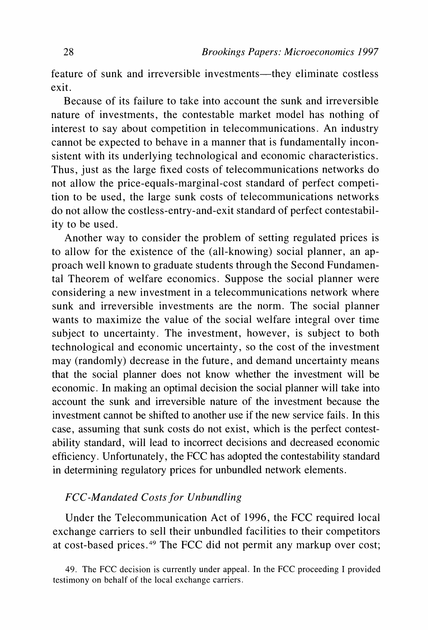feature of sunk and irreversible investments—they eliminate costless **exit.** 

**Because of its failure to take into account the sunk and irreversible nature of investments, the contestable market model has nothing of interest to say about competition in telecommunications. An industry cannot be expected to behave in a manner that is fundamentally inconsistent with its underlying technological and economic characteristics. Thus, just as the large fixed costs of telecommunications networks do not allow the price-equals-marginal-cost standard of perfect competition to be used, the large sunk costs of telecommunications networks do not allow the costless-entry-and-exit standard of perfect contestability to be used.** 

**Another way to consider the problem of setting regulated prices is to allow for the existence of the (all-knowing) social planner, an approach well known to graduate students through the Second Fundamental Theorem of welfare economics. Suppose the social planner were considering a new investment in a telecommunications network where sunk and irreversible investments are the norm. The social planner wants to maximize the value of the social welfare integral over time subject to uncertainty. The investment, however, is subject to both technological and economic uncertainty, so the cost of the investment may (randomly) decrease in the future, and demand uncertainty means that the social planner does not know whether the investment will be economic. In making an optimal decision the social planner will take into account the sunk and irreversible nature of the investment because the investment cannot be shifted to another use if the new service fails. In this case, assuming that sunk costs do not exist, which is the perfect contestability standard, will lead to incorrect decisions and decreased economic efficiency. Unfortunately, the FCC has adopted the contestability standard in determining regulatory prices for unbundled network elements.** 

## **FCC-Mandated Costs for Unbundling**

**Under the Telecommunication Act of 1996, the FCC required local exchange carriers to sell their unbundled facilities to their competitors at cost-based prices.49 The FCC did not permit any markup over cost;** 

**49. The FCC decision is currently under appeal. In the FCC proceeding I provided testimony on behalf of the local exchange carriers.**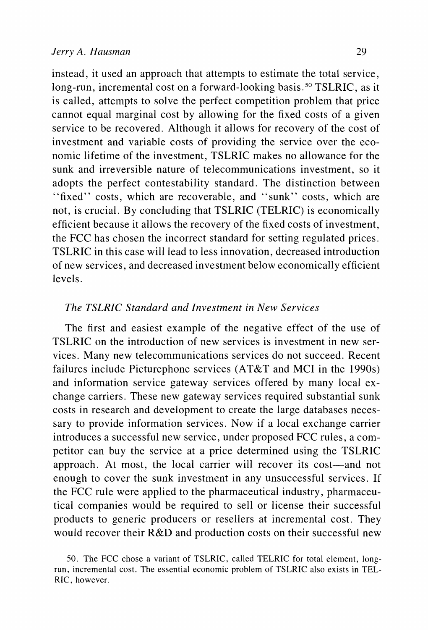**instead, it used an approach that attempts to estimate the total service, long-run, incremental cost on a forward-looking basis.50 TSLRIC, as it is called, attempts to solve the perfect competition problem that price cannot equal marginal cost by allowing for the fixed costs of a given service to be recovered. Although it allows for recovery of the cost of investment and variable costs of providing the service over the economic lifetime of the investment, TSLRIC makes no allowance for the sunk and irreversible nature of telecommunications investment, so it adopts the perfect contestability standard. The distinction between "fixed" costs, which are recoverable, and "sunk" costs, which are not, is crucial. By concluding that TSLRIC (TELRIC) is economically efficient because it allows the recovery of the fixed costs of investment, the FCC has chosen the incorrect standard for setting regulated prices. TSLRIC in this case will lead to less innovation, decreased introduction of new services, and decreased investment below economically efficient levels.** 

## **The TSLRIC Standard and Investment in New Services**

**The first and easiest example of the negative effect of the use of TSLRIC on the introduction of new services is investment in new services. Many new telecommunications services do not succeed. Recent failures include Picturephone services (AT&T and MCI in the 1990s) and information service gateway services offered by many local exchange carriers. These new gateway services required substantial sunk costs in research and development to create the large databases necessary to provide information services. Now if a local exchange carrier introduces a successful new service, under proposed FCC rules, a competitor can buy the service at a price determined using the TSLRIC**  approach. At most, the local carrier will recover its cost-and not **enough to cover the sunk investment in any unsuccessful services. If the FCC rule were applied to the pharmaceutical industry, pharmaceutical companies would be required to sell or license their successful products to generic producers or resellers at incremental cost. They would recover their R&D and production costs on their successful new** 

**<sup>50.</sup> The FCC chose a variant of TSLRIC, called TELRIC for total element, longrun, incremental cost. The essential economic problem of TSLRIC also exists in TEL-RIC, however.**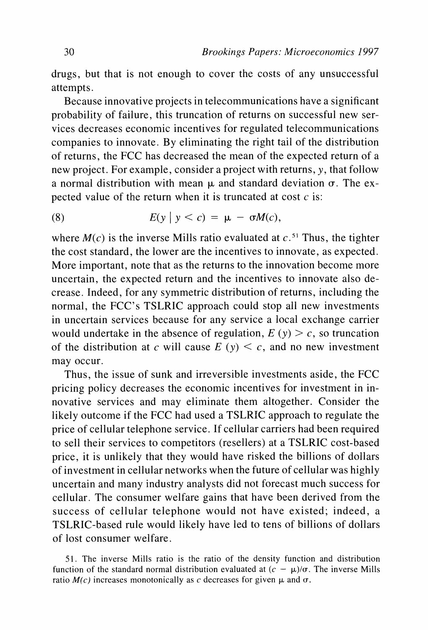**drugs, but that is not enough to cover the costs of any unsuccessful attempts.** 

**Because innovative projects in telecommunications have a significant probability of failure, this truncation of returns on successful new services decreases economic incentives for regulated telecommunications companies to innovate. By eliminating the right tail of the distribution of returns, the FCC has decreased the mean of the expected return of a new project. For example, consider a project with returns, y, that follow**  a normal distribution with mean  $\mu$  and standard deviation  $\sigma$ . The ex**pected value of the return when it is truncated at cost c is:** 

(8) 
$$
E(y \mid y < c) = \mu - \sigma M(c),
$$

where  $M(c)$  is the inverse Mills ratio evaluated at  $c<sup>51</sup>$  Thus, the tighter **the cost standard, the lower are the incentives to innovate, as expected. More important, note that as the returns to the innovation become more uncertain, the expected return and the incentives to innovate also decrease. Indeed, for any symmetric distribution of returns, including the normal, the FCC's TSLRIC approach could stop all new investments in uncertain services because for any service a local exchange carrier**  would undertake in the absence of regulation,  $E(y) > c$ , so truncation of the distribution at c will cause  $E(y) \leq c$ , and no new investment **may occur.** 

**Thus, the issue of sunk and irreversible investments aside, the FCC pricing policy decreases the economic incentives for investment in innovative services and may eliminate them altogether. Consider the likely outcome if the FCC had used a TSLRIC approach to regulate the price of cellular telephone service. If cellular carriers had been required to sell their services to competitors (resellers) at a TSLRIC cost-based price, it is unlikely that they would have risked the billions of dollars of investment in cellular networks when the future of cellular was highly uncertain and many industry analysts did not forecast much success for cellular. The consumer welfare gains that have been derived from the success of cellular telephone would not have existed; indeed, a TSLRIC-based rule would likely have led to tens of billions of dollars of lost consumer welfare.** 

**<sup>51.</sup> The inverse Mills ratio is the ratio of the density function and distribution**  function of the standard normal distribution evaluated at  $(c - \mu)/\sigma$ . The inverse Mills ratio  $M(c)$  increases monotonically as c decreases for given  $\mu$  and  $\sigma$ .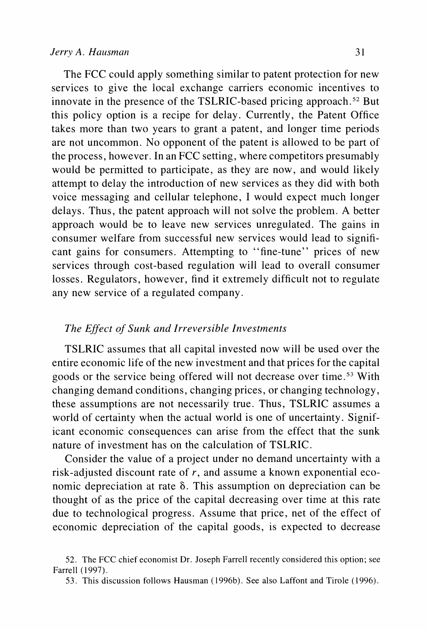**The FCC could apply something similar to patent protection for new services to give the local exchange carriers economic incentives to innovate in the presence of the TSLRIC-based pricing approach.52 But this policy option is a recipe for delay. Currently, the Patent Office takes more than two years to grant a patent, and longer time periods are not uncommon. No opponent of the patent is allowed to be part of the process, however. In an FCC setting, where competitors presumably would be permitted to participate, as they are now, and would likely attempt to delay the introduction of new services as they did with both voice messaging and cellular telephone, I would expect much longer delays. Thus, the patent approach will not solve the problem. A better approach would be to leave new services unregulated. The gains in consumer welfare from successful new services would lead to significant gains for consumers. Attempting to "fine-tune" prices of new services through cost-based regulation will lead to overall consumer losses. Regulators, however, find it extremely difficult not to regulate any new service of a regulated company.** 

#### **The Effect of Sunk and Irreversible Investments**

**TSLRIC assumes that all capital invested now will be used over the entire economic life of the new investment and that prices for the capital goods or the service being offered will not decrease over time.53 With changing demand conditions, changing prices, or changing technology, these assumptions are not necessarily true. Thus, TSLRIC assumes a world of certainty when the actual world is one of uncertainty. Significant economic consequences can arise from the effect that the sunk nature of investment has on the calculation of TSLRIC.** 

**Consider the value of a project under no demand uncertainty with a risk-adjusted discount rate of r, and assume a known exponential economic depreciation at rate 6. This assumption on depreciation can be thought of as the price of the capital decreasing over time at this rate due to technological progress. Assume that price, net of the effect of economic depreciation of the capital goods, is expected to decrease** 

**<sup>52.</sup> The FCC chief economist Dr. Joseph Farrell recently considered this option; see Farrell (1997).** 

**<sup>53.</sup> This discussion follows Hausman (1996b). See also Laffont and Tirole (1996).**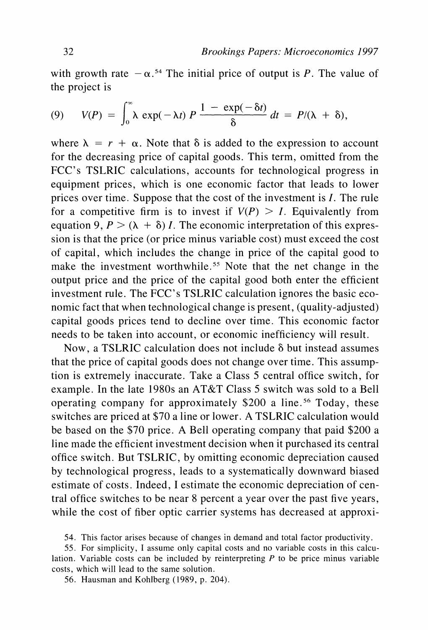with growth rate  $-\alpha$ .<sup>54</sup> The initial price of output is P. The value of **the project is** 

(9) 
$$
V(P) = \int_0^\infty \lambda \exp(-\lambda t) P \frac{1 - \exp(-\delta t)}{\delta} dt = P/(\lambda + \delta),
$$

where  $\lambda = r + \alpha$ . Note that  $\delta$  is added to the expression to account **for the decreasing price of capital goods. This term, omitted from the FCC's TSLRIC calculations, accounts for technological progress in equipment prices, which is one economic factor that leads to lower prices over time. Suppose that the cost of the investment is I. The rule**  for a competitive firm is to invest if  $V(P) > I$ . Equivalently from equation 9,  $P > (\lambda + \delta) I$ . The economic interpretation of this expres**sion is that the price (or price minus variable cost) must exceed the cost of capital, which includes the change in price of the capital good to**  make the investment worthwhile.<sup>55</sup> Note that the net change in the **output price and the price of the capital good both enter the efficient investment rule. The FCC's TSLRIC calculation ignores the basic economic fact that when technological change is present, (quality-adjusted) capital goods prices tend to decline over time. This economic factor needs to be taken into account, or economic inefficiency will result.** 

**Now, a TSLRIC calculation does not include 8 but instead assumes that the price of capital goods does not change over time. This assumption is extremely inaccurate. Take a Class 5 central office switch, for example. In the late 1980s an AT&T Class 5 switch was sold to a Bell operating company for approximately \$200 a line.56 Today, these switches are priced at \$70 a line or lower. A TSLRIC calculation would be based on the \$70 price. A Bell operating company that paid \$200 a line made the efficient investment decision when it purchased its central office switch. But TSLRIC, by omitting economic depreciation caused by technological progress, leads to a systematically downward biased estimate of costs. Indeed, I estimate the economic depreciation of central office switches to be near 8 percent a year over the past five years, while the cost of fiber optic carrier systems has decreased at approxi-**

**56. Hausman and Kohlberg (1989, p. 204).** 

**<sup>54.</sup> This factor arises because of changes in demand and total factor productivity.** 

**<sup>55.</sup> For simplicity, I assume only capital costs and no variable costs in this calculation. Variable costs can be included by reinterpreting P to be price minus variable costs, which will lead to the same solution.**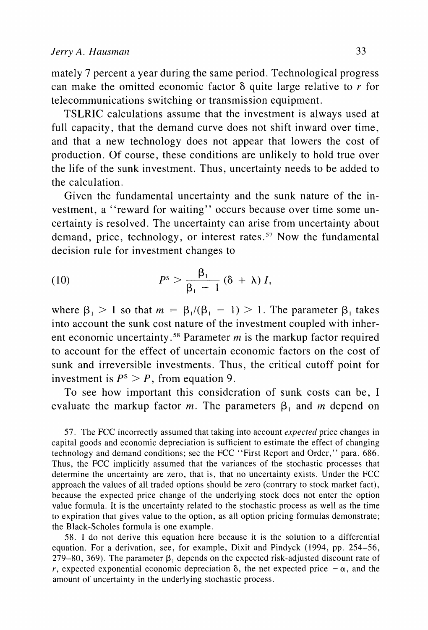**mately 7 percent a year during the same period. Technological progress can make the omitted economic factor 8 quite large relative to r for telecommunications switching or transmission equipment.** 

**TSLRIC calculations assume that the investment is always used at full capacity, that the demand curve does not shift inward over time, and that a new technology does not appear that lowers the cost of production. Of course, these conditions are unlikely to hold true over the life of the sunk investment. Thus, uncertainty needs to be added to the calculation.** 

**Given the fundamental uncertainty and the sunk nature of the in**vestment, a "reward for waiting" occurs because over time some un**certainty is resolved. The uncertainty can arise from uncertainty about demand, price, technology, or interest rates.57 Now the fundamental decision rule for investment changes to** 

(10) 
$$
P^{s} > \frac{\beta_{1}}{\beta_{1} - 1} (\delta + \lambda) I,
$$

where  $\beta_1 > 1$  so that  $m = \beta_1/(\beta_1 - 1) > 1$ . The parameter  $\beta_1$  takes **into account the sunk cost nature of the investment coupled with inherent economic uncertainty.58 Parameter m is the markup factor required to account for the effect of uncertain economic factors on the cost of sunk and irreversible investments. Thus, the critical cutoff point for**  investment is  $P^s > P$ , from equation 9.

**To see how important this consideration of sunk costs can be, I**  evaluate the markup factor  $m$ . The parameters  $\beta_1$  and  $m$  depend on

**57. The FCC incorrectly assumed that taking into account expected price changes in capital goods and economic depreciation is sufficient to estimate the effect of changing technology and demand conditions; see the FCC "First Report and Order," para. 686. Thus, the FCC implicitly assumed that the variances of the stochastic processes that determine the uncertainty are zero, that is, that no uncertainty exists. Under the FCC approach the values of all traded options should be zero (contrary to stock market fact), because the expected price change of the underlying stock does not enter the option value formula. It is the uncertainty related to the stochastic process as well as the time to expiration that gives value to the option, as all option pricing formulas demonstrate; the Black-Scholes formula is one example.** 

**58. I do not derive this equation here because it is the solution to a differential equation. For a derivation, see, for example, Dixit and Pindyck (1994, pp. 254-56, 279-80, 369). The parameter 3, depends on the expected risk-adjusted discount rate of r, expected exponential economic depreciation**  $\delta$ **, the net expected price**  $-\alpha$ **, and the amount of uncertainty in the underlying stochastic process.**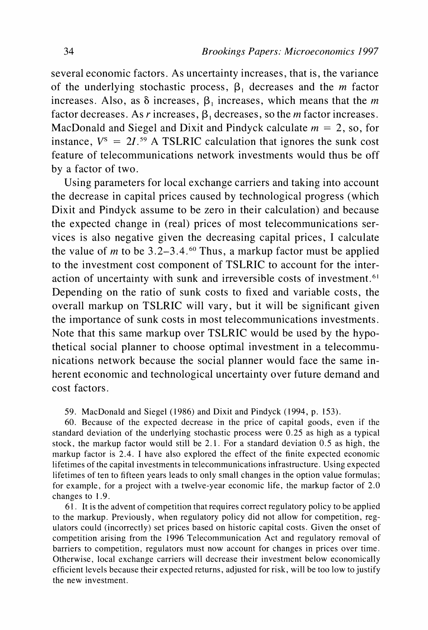**several economic factors. As uncertainty increases, that is, the variance**  of the underlying stochastic process,  $\beta_1$  decreases and the *m* factor increases. Also, as  $\delta$  increases,  $\beta_1$  increases, which means that the *m* factor decreases. As r increases,  $\beta_1$  decreases, so the *m* factor increases. MacDonald and Siegel and Dixit and Pindyck calculate  $m = 2$ , so, for instance,  $V^s = 2I^{.59}$  A TSLRIC calculation that ignores the sunk cost **feature of telecommunications network investments would thus be off by a factor of two.** 

**Using parameters for local exchange carriers and taking into account the decrease in capital prices caused by technological progress (which Dixit and Pindyck assume to be zero in their calculation) and because the expected change in (real) prices of most telecommunications services is also negative given the decreasing capital prices, I calculate**  the value of *m* to be  $3.2-3.4.60$  Thus, a markup factor must be applied **to the investment cost component of TSLRIC to account for the interaction of uncertainty with sunk and irreversible costs of investment.6' Depending on the ratio of sunk costs to fixed and variable costs, the overall markup on TSLRIC will vary, but it will be significant given the importance of sunk costs in most telecommunications investments. Note that this same markup over TSLRIC would be used by the hypothetical social planner to choose optimal investment in a telecommunications network because the social planner would face the same inherent economic and technological uncertainty over future demand and cost factors.** 

**59. MacDonald and Siegel (1986) and Dixit and Pindyck (1994, p. 153).** 

**60. Because of the expected decrease in the price of capital goods, even if the standard deviation of the underlying stochastic process were 0.25 as high as a typical stock, the markup factor would still be 2.1. For a standard deviation 0.5 as high, the markup factor is 2.4. I have also explored the effect of the finite expected economic lifetimes of the capital investments in telecommunications infrastructure. Using expected lifetimes of ten to fifteen years leads to only small changes in the option value formulas; for example, for a project with a twelve-year economic life, the markup factor of 2.0 changes to 1.9.** 

**61. It is the advent of competition that requires correct regulatory policy to be applied to the markup. Previously, when regulatory policy did not allow for competition, regulators could (incorrectly) set prices based on historic capital costs. Given the onset of competition arising from the 1996 Telecommunication Act and regulatory removal of barriers to competition, regulators must now account for changes in prices over time. Otherwise, local exchange carriers will decrease their investment below economically efficient levels because their expected returns, adjusted for risk, will be too low to justify the new investment.**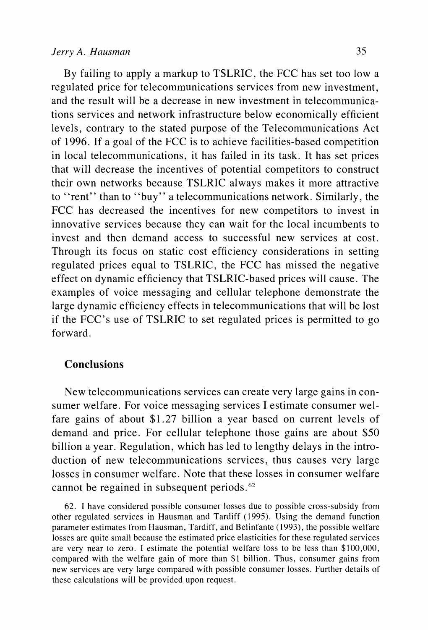**By failing to apply a markup to TSLRIC, the FCC has set too low a regulated price for telecommunications services from new investment, and the result will be a decrease in new investment in telecommunications services and network infrastructure below economically efficient levels, contrary to the stated purpose of the Telecommunications Act of 1996. If a goal of the FCC is to achieve facilities-based competition in local telecommunications, it has failed in its task. It has set prices that will decrease the incentives of potential competitors to construct their own networks because TSLRIC always makes it more attractive to "rent" than to "buy" a telecommunications network. Similarly, the FCC has decreased the incentives for new competitors to invest in innovative services because they can wait for the local incumbents to invest and then demand access to successful new services at cost. Through its focus on static cost efficiency considerations in setting regulated prices equal to TSLRIC, the FCC has missed the negative effect on dynamic efficiency that TSLRIC-based prices will cause. The examples of voice messaging and cellular telephone demonstrate the large dynamic efficiency effects in telecommunications that will be lost if the FCC's use of TSLRIC to set regulated prices is permitted to go forward.** 

## **Conclusions**

**New telecommunications services can create very large gains in consumer welfare. For voice messaging services I estimate consumer welfare gains of about \$1.27 billion a year based on current levels of demand and price. For cellular telephone those gains are about \$50 billion a year. Regulation, which has led to lengthy delays in the introduction of new telecommunications services, thus causes very large losses in consumer welfare. Note that these losses in consumer welfare cannot be regained in subsequent periods.62** 

**62. I have considered possible consumer losses due to possible cross-subsidy from other regulated services in Hausman and Tardiff (1995). Using the demand function parameter estimates from Hausman, Tardiff, and Belinfante (1993), the possible welfare losses are quite small because the estimated price elasticities for these regulated services are very near to zero. I estimate the potential welfare loss to be less than \$100,000, compared with the welfare gain of more than \$1 billion. Thus, consumer gains from new services are very large compared with possible consumer losses. Further details of these calculations will be provided upon request.**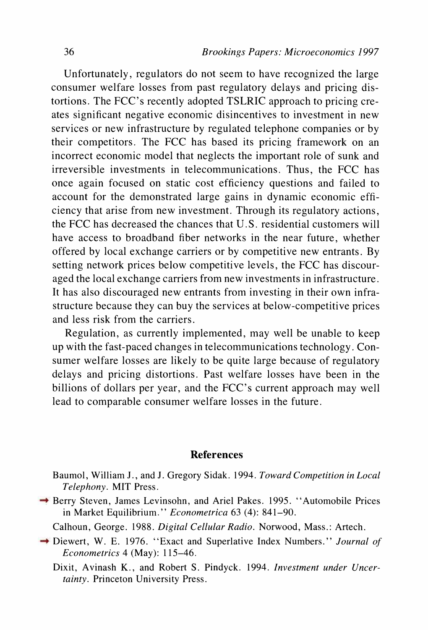**Unfortunately, regulators do not seem to have recognized the large consumer welfare losses from past regulatory delays and pricing distortions. The FCC's recently adopted TSLRIC approach to pricing creates significant negative economic disincentives to investment in new services or new infrastructure by regulated telephone companies or by their competitors. The FCC has based its pricing framework on an incorrect economic model that neglects the important role of sunk and irreversible investments in telecommunications. Thus, the FCC has once again focused on static cost efficiency questions and failed to account for the demonstrated large gains in dynamic economic efficiency that arise from new investment. Through its regulatory actions, the FCC has decreased the chances that U.S. residential customers will have access to broadband fiber networks in the near future, whether offered by local exchange carriers or by competitive new entrants. By setting network prices below competitive levels, the FCC has discouraged the local exchange carriers from new investments in infrastructure. It has also discouraged new entrants from investing in their own infrastructure because they can buy the services at below-competitive prices and less risk from the carriers.** 

**Regulation, as currently implemented, may well be unable to keep up with the fast-paced changes in telecommunications technology. Consumer welfare losses are likely to be quite large because of regulatory delays and pricing distortions. Past welfare losses have been in the billions of dollars per year, and the FCC's current approach may well lead to comparable consumer welfare losses in the future.** 

#### **References**

**Baumol, William J., and J. Gregory Sidak. 1994. Toward Competition in Local Telephony. MIT Press.** 

→ Berry Steven, James Levinsohn, and Ariel Pakes. 1995. "Automobile Prices **in Market Equilibrium." Econometrica 63 (4): 841-90.** 

- **Calhoun, George. 1988. Digital Cellular Radio. Norwood, Mass.: Artech.**
- **Diewert, W. E. 1976. "Exact and Superlative Index Numbers." Journal of Econometrics 4 (May): 115-46.**

**Dixit, Avinash K., and Robert S. Pindyck. 1994. Investment under Uncertainty. Princeton University Press.**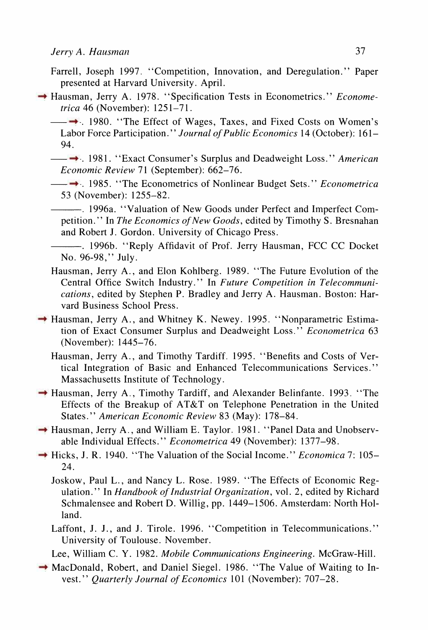- **Farrell, Joseph 1997. "Competition, Innovation, and Deregulation." Paper presented at Harvard University. April.**
- → Hausman, Jerry A. 1978. "Specification Tests in Econometrics." *Econome***trica 46 (November): 1251-71.**

**1980. "The Effect of Wages, Taxes, and Fixed Costs on Women's Labor Force Participation." Journal of Public Economics 14 (October): 161- 94.** 

**<sup>■</sup> 1981. "Exact Consumer's Surplus and Deadweight Loss." American Economic Review 71 (September): 662-76.** 

**<sup>→</sup> 1985. "The Econometrics of Nonlinear Budget Sets."** *Econometrica* **53 (November): 1255-82.** 

**. 1996a. "Valuation of New Goods under Perfect and Imperfect Competition. " In The Economics of New Goods, edited by Timothy S. Bresnahan and Robert J. Gordon. University of Chicago Press.** 

**. 1996b. "Reply Affidavit of Prof. Jerry Hausman, FCC CC Docket No. 96-98," July.** 

- **Hausman, Jerry A., and Elon Kohlberg. 1989. "The Future Evolution of the Central Office Switch Industry." In Future Competition in Telecommunications, edited by Stephen P. Bradley and Jerry A. Hausman. Boston: Harvard Business School Press.**
- → Hausman, Jerry A., and Whitney K. Newey. 1995. "Nonparametric Estima**tion of Exact Consumer Surplus and Deadweight Loss." Econometrica 63 (November): 1445-76.** 
	- **Hausman, Jerry A., and Timothy Tardiff. 1995. "Benefits and Costs of Vertical Integration of Basic and Enhanced Telecommunications Services." Massachusetts Institute of Technology.**
- **Hausman, Jerry A., Timothy Tardiff, and Alexander Belinfante. 1993. "The Effects of the Breakup of AT&T on Telephone Penetration in the United States." American Economic Review 83 (May): 178-84.**
- → Hausman, Jerry A., and William E. Taylor. 1981. "Panel Data and Unobserv**able Individual Effects." Econometrica 49 (November): 1377-98.**
- → Hicks, J. R. 1940. "The Valuation of the Social Income." *Economica* 7: 105– **24.**

**Joskow, Paul L., and Nancy L. Rose. 1989. "The Effects of Economic Regulation." In Handbook of Industrial Organization, vol. 2, edited by Richard Schmalensee and Robert D. Willig, pp. 1449-1506. Amsterdam: North Holland.** 

- **Laffont, J. J., and J. Tirole. 1996. "Competition in Telecommunications." University of Toulouse. November.**
- **Lee, William C. Y. 1982. Mobile Communications Engineering. McGraw-Hill.**

<sup>→</sup> MacDonald, Robert, and Daniel Siegel. 1986. "The Value of Waiting to In**vest." Quarterly Journal of Economics 101 (November): 707-28.**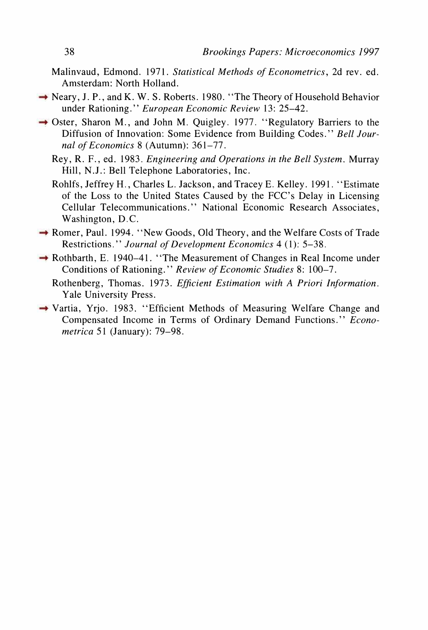- **Malinvaud, Edmond. 1971. Statistical Methods of Econometrics, 2d rev. ed. Amsterdam: North Holland.**
- → Neary, J. P., and K. W. S. Roberts. 1980. "The Theory of Household Behavior **under Rationing." European Economic Review 13: 25-42.**
- → Oster, Sharon M., and John M. Quigley. 1977. "Regulatory Barriers to the **Diffusion of Innovation: Some Evidence from Building Codes." Bell Journal of Economics 8 (Autumn): 361-77.** 
	- **Rey, R. F., ed. 1983. Engineering and Operations in the Bell System. Murray Hill, N.J.: Bell Telephone Laboratories, Inc.**
	- **Rohlfs, Jeffrey H., Charles L. Jackson, and Tracey E. Kelley. 1991. "Estimate of the Loss to the United States Caused by the FCC's Delay in Licensing Cellular Telecommunications." National Economic Research Associates, Washington, D.C.**
- **Romer, Paul. 1994. "New Goods, Old Theory, and the Welfare Costs of Trade Restrictions." Journal of Development Economics 4 (1): 5-38.**
- **Rothbarth, E. 1940-41. "The Measurement of Changes in Real Income under Conditions of Rationing." Review of Economic Studies 8: 100-7.** 
	- **Rothenberg, Thomas. 1973. Efficient Estimation with A Priori Information. Yale University Press.**
- **Vartia, Yrjo. 1983. "Efficient Methods of Measuring Welfare Change and Compensated Income in Terms of Ordinary Demand Functions." Econometrica 51 (January): 79-98.**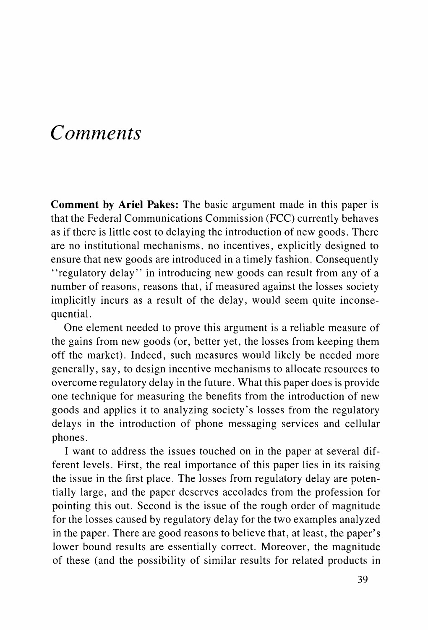# **Comments**

**Comment by Ariel Pakes: The basic argument made in this paper is that the Federal Communications Commission (FCC) currently behaves as if there is little cost to delaying the introduction of new goods. There are no institutional mechanisms, no incentives, explicitly designed to ensure that new goods are introduced in a timely fashion. Consequently "regulatory delay" in introducing new goods can result from any of a number of reasons, reasons that, if measured against the losses society implicitly incurs as a result of the delay, would seem quite inconsequential.** 

**One element needed to prove this argument is a reliable measure of the gains from new goods (or, better yet, the losses from keeping them off the market). Indeed, such measures would likely be needed more generally, say, to design incentive mechanisms to allocate resources to overcome regulatory delay in the future. What this paper does is provide one technique for measuring the benefits from the introduction of new goods and applies it to analyzing society's losses from the regulatory delays in the introduction of phone messaging services and cellular phones.** 

**I want to address the issues touched on in the paper at several different levels. First, the real importance of this paper lies in its raising the issue in the first place. The losses from regulatory delay are potentially large, and the paper deserves accolades from the profession for pointing this out. Second is the issue of the rough order of magnitude for the losses caused by regulatory delay for the two examples analyzed in the paper. There are good reasons to believe that, at least, the paper's lower bound results are essentially correct. Moreover, the magnitude of these (and the possibility of similar results for related products in**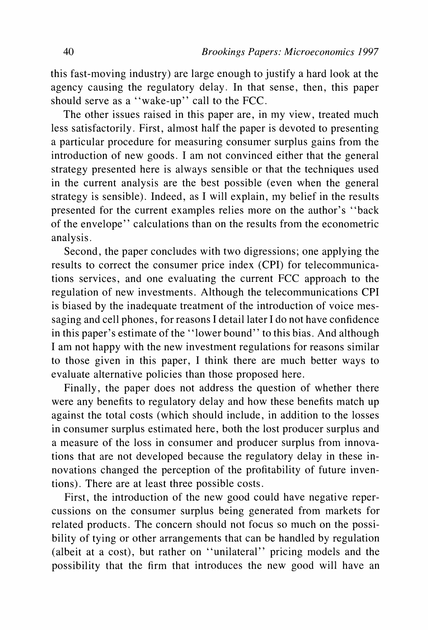**this fast-moving industry) are large enough to justify a hard look at the agency causing the regulatory delay. In that sense, then, this paper should serve as a "wake-up" call to the FCC.** 

**The other issues raised in this paper are, in my view, treated much less satisfactorily. First, almost half the paper is devoted to presenting a particular procedure for measuring consumer surplus gains from the introduction of new goods. I am not convinced either that the general strategy presented here is always sensible or that the techniques used in the current analysis are the best possible (even when the general strategy is sensible). Indeed, as I will explain, my belief in the results presented for the current examples relies more on the author's "back of the envelope" calculations than on the results from the econometric analysis.** 

**Second, the paper concludes with two digressions; one applying the results to correct the consumer price index (CPI) for telecommunications services, and one evaluating the current FCC approach to the regulation of new investments. Although the telecommunications CPI is biased by the inadequate treatment of the introduction of voice messaging and cell phones, for reasons I detail later I do not have confidence in this paper's estimate of the "lower bound" to this bias. And although I am not happy with the new investment regulations for reasons similar to those given in this paper, I think there are much better ways to evaluate alternative policies than those proposed here.** 

**Finally, the paper does not address the question of whether there were any benefits to regulatory delay and how these benefits match up against the total costs (which should include, in addition to the losses in consumer surplus estimated here, both the lost producer surplus and a measure of the loss in consumer and producer surplus from innovations that are not developed because the regulatory delay in these innovations changed the perception of the profitability of future inventions). There are at least three possible costs.** 

**First, the introduction of the new good could have negative repercussions on the consumer surplus being generated from markets for related products. The concern should not focus so much on the possibility of tying or other arrangements that can be handled by regulation (albeit at a cost), but rather on "unilateral" pricing models and the possibility that the firm that introduces the new good will have an**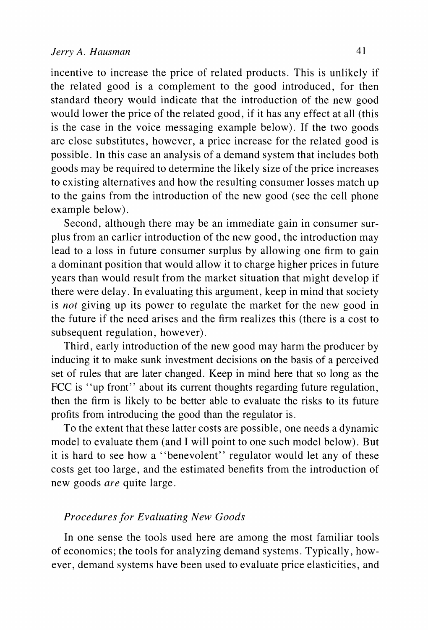**incentive to increase the price of related products. This is unlikely if the related good is a complement to the good introduced, for then standard theory would indicate that the introduction of the new good would lower the price of the related good, if it has any effect at all (this is the case in the voice messaging example below). If the two goods are close substitutes, however, a price increase for the related good is possible. In this case an analysis of a demand system that includes both goods may be required to determine the likely size of the price increases to existing alternatives and how the resulting consumer losses match up to the gains from the introduction of the new good (see the cell phone example below).** 

**Second, although there may be an immediate gain in consumer surplus from an earlier introduction of the new good, the introduction may lead to a loss in future consumer surplus by allowing one firm to gain a dominant position that would allow it to charge higher prices in future years than would result from the market situation that might develop if there were delay. In evaluating this argument, keep in mind that society is not giving up its power to regulate the market for the new good in the future if the need arises and the firm realizes this (there is a cost to subsequent regulation, however).** 

**Third, early introduction of the new good may harm the producer by inducing it to make sunk investment decisions on the basis of a perceived set of rules that are later changed. Keep in mind here that so long as the FCC is "up front" about its current thoughts regarding future regulation, then the firm is likely to be better able to evaluate the risks to its future profits from introducing the good than the regulator is.** 

**To the extent that these latter costs are possible, one needs a dynamic model to evaluate them (and I will point to one such model below). But it is hard to see how a "benevolent" regulator would let any of these costs get too large, and the estimated benefits from the introduction of new goods are quite large.** 

# **Procedures for Evaluating New Goods**

**In one sense the tools used here are among the most familiar tools of economics; the tools for analyzing demand systems. Typically, however, demand systems have been used to evaluate price elasticities, and**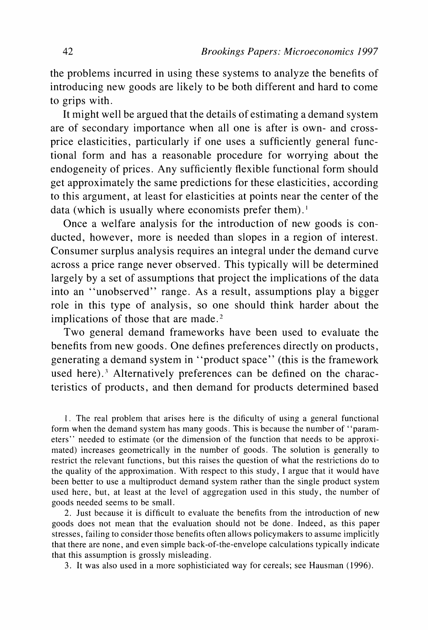**the problems incurred in using these systems to analyze the benefits of introducing new goods are likely to be both different and hard to come to grips with.** 

**It might well be argued that the details of estimating a demand system are of secondary importance when all one is after is own- and crossprice elasticities, particularly if one uses a sufficiently general functional form and has a reasonable procedure for worrying about the endogeneity of prices. Any sufficiently flexible functional form should get approximately the same predictions for these elasticities, according to this argument, at least for elasticities at points near the center of the**  data (which is usually where economists prefer them).<sup>1</sup>

**Once a welfare analysis for the introduction of new goods is conducted, however, more is needed than slopes in a region of interest. Consumer surplus analysis requires an integral under the demand curve across a price range never observed. This typically will be determined largely by a set of assumptions that project the implications of the data into an "unobserved" range. As a result, assumptions play a bigger role in this type of analysis, so one should think harder about the implications of those that are made.2** 

**Two general demand frameworks have been used to evaluate the benefits from new goods. One defines preferences directly on products, generating a demand system in "product space" (this is the framework used here).3 Alternatively preferences can be defined on the characteristics of products, and then demand for products determined based** 

**1. The real problem that arises here is the dificulty of using a general functional form when the demand system has many goods. This is because the number of "parameters" needed to estimate (or the dimension of the function that needs to be approximated) increases geometrically in the number of goods. The solution is generally to restrict the relevant functions, but this raises the question of what the restrictions do to the quality of the approximation. With respect to this study, I argue that it would have been better to use a multiproduct demand system rather than the single product system used here, but, at least at the level of aggregation used in this study, the number of goods needed seems to be small.** 

**2. Just because it is difficult to evaluate the benefits from the introduction of new goods does not mean that the evaluation should not be done. Indeed, as this paper stresses, failing to consider those benefits often allows policymakers to assume implicitly that there are none, and even simple back-of-the-envelope calculations typically indicate that this assumption is grossly misleading.** 

**3. It was also used in a more sophisticiated way for cereals; see Hausman (1996).**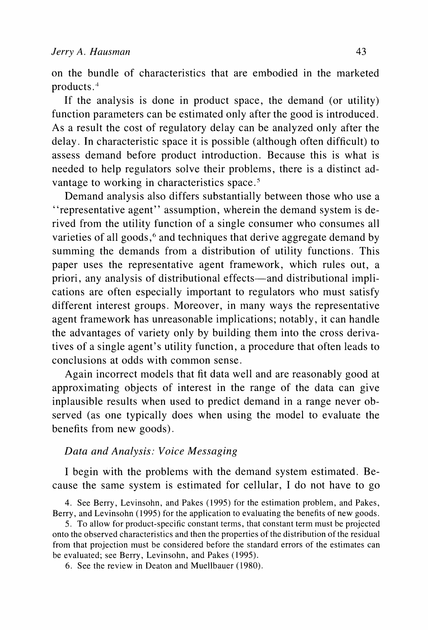**on the bundle of characteristics that are embodied in the marketed products .** 

**If the analysis is done in product space, the demand (or utility) function parameters can be estimated only after the good is introduced. As a result the cost of regulatory delay can be analyzed only after the delay. In characteristic space it is possible (although often difficult) to assess demand before product introduction. Because this is what is needed to help regulators solve their problems, there is a distinct advantage to working in characteristics space.5** 

**Demand analysis also differs substantially between those who use a "representative agent" assumption, wherein the demand system is derived from the utility function of a single consumer who consumes all**  varieties of all goods,<sup>6</sup> and techniques that derive aggregate demand by **summing the demands from a distribution of utility functions. This paper uses the representative agent framework, which rules out, a priori, any analysis of distributional effects-and distributional implications are often especially important to regulators who must satisfy different interest groups. Moreover, in many ways the representative agent framework has unreasonable implications; notably, it can handle the advantages of variety only by building them into the cross derivatives of a single agent's utility function, a procedure that often leads to conclusions at odds with common sense.** 

**Again incorrect models that fit data well and are reasonably good at approximating objects of interest in the range of the data can give inplausible results when used to predict demand in a range never observed (as one typically does when using the model to evaluate the benefits from new goods).** 

## **Data and Analysis: Voice Messaging**

**I begin with the problems with the demand system estimated. Because the same system is estimated for cellular, I do not have to go** 

**4. See Berry, Levinsohn, and Pakes (1995) for the estimation problem, and Pakes, Berry, and Levinsohn ( 1995) for the application to evaluating the benefits of new goods.** 

**5. To allow for product-specific constant terms, that constant term must be projected onto the observed characteristics and then the properties of the distribution of the residual from that projection must be considered before the standard errors of the estimates can be evaluated; see Berry, Levinsohn, and Pakes (1995).** 

**6. See the review in Deaton and Muellbauer (1980).**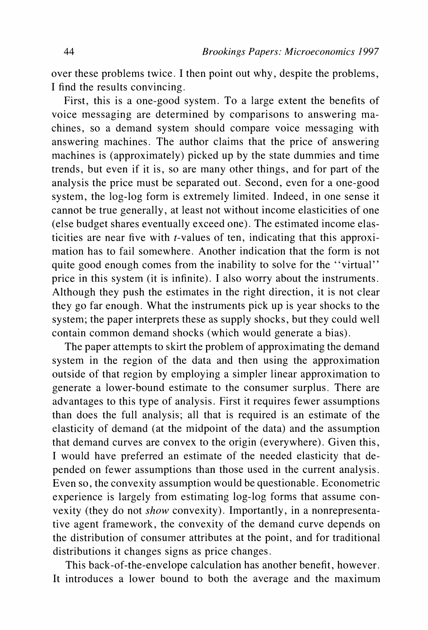**over these problems twice. I then point out why, despite the problems, I find the results convincing.** 

**First, this is a one-good system. To a large extent the benefits of voice messaging are determined by comparisons to answering machines, so a demand system should compare voice messaging with answering machines. The author claims that the price of answering machines is (approximately) picked up by the state dummies and time trends, but even if it is, so are many other things, and for part of the analysis the price must be separated out. Second, even for a one-good system, the log-log form is extremely limited. Indeed, in one sense it cannot be true generally, at least not without income elasticities of one (else budget shares eventually exceed one). The estimated income elasticities are near five with t-values of ten, indicating that this approximation has to fail somewhere. Another indication that the form is not quite good enough comes from the inability to solve for the "virtual" price in this system (it is infinite). I also worry about the instruments. Although they push the estimates in the right direction, it is not clear they go far enough. What the instruments pick up is year shocks to the system; the paper interprets these as supply shocks, but they could well contain common demand shocks (which would generate a bias).** 

**The paper attempts to skirt the problem of approximating the demand system in the region of the data and then using the approximation outside of that region by employing a simpler linear approximation to generate a lower-bound estimate to the consumer surplus. There are advantages to this type of analysis. First it requires fewer assumptions than does the full analysis; all that is required is an estimate of the elasticity of demand (at the midpoint of the data) and the assumption that demand curves are convex to the origin (everywhere). Given this, I would have preferred an estimate of the needed elasticity that depended on fewer assumptions than those used in the current analysis. Even so, the convexity assumption would be questionable. Econometric experience is largely from estimating log-log forms that assume convexity (they do not show convexity). Importantly, in a nonrepresentative agent framework, the convexity of the demand curve depends on the distribution of consumer attributes at the point, and for traditional distributions it changes signs as price changes.** 

**This back-of-the-envelope calculation has another benefit, however. It introduces a lower bound to both the average and the maximum**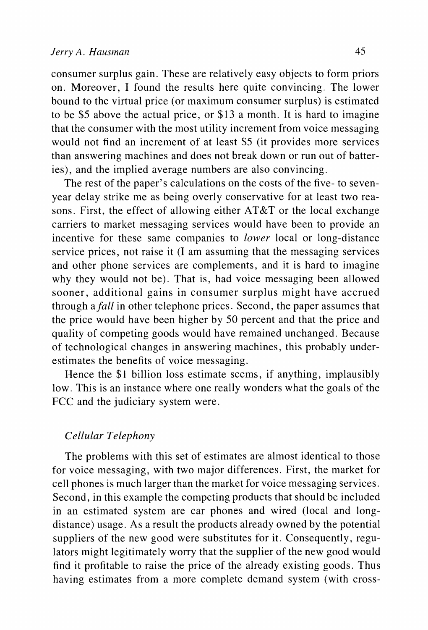**consumer surplus gain. These are relatively easy objects to form priors on. Moreover, I found the results here quite convincing. The lower bound to the virtual price (or maximum consumer surplus) is estimated to be \$5 above the actual price, or \$13 a month. It is hard to imagine that the consumer with the most utility increment from voice messaging would not find an increment of at least \$5 (it provides more services than answering machines and does not break down or run out of batteries), and the implied average numbers are also convincing.** 

**The rest of the paper's calculations on the costs of the five- to sevenyear delay strike me as being overly conservative for at least two reasons. First, the effect of allowing either AT&T or the local exchange carriers to market messaging services would have been to provide an incentive for these same companies to lower local or long-distance service prices, not raise it (I am assuming that the messaging services and other phone services are complements, and it is hard to imagine why they would not be). That is, had voice messaging been allowed sooner, additional gains in consumer surplus might have accrued through afall in other telephone prices. Second, the paper assumes that the price would have been higher by 50 percent and that the price and quality of competing goods would have remained unchanged. Because of technological changes in answering machines, this probably underestimates the benefits of voice messaging.** 

**Hence the \$1 billion loss estimate seems, if anything, implausibly low. This is an instance where one really wonders what the goals of the FCC and the judiciary system were.** 

## **Cellular Telephony**

**The problems with this set of estimates are almost identical to those for voice messaging, with two major differences. First, the market for cell phones is much larger than the market for voice messaging services. Second, in this example the competing products that should be included in an estimated system are car phones and wired (local and longdistance) usage. As a result the products already owned by the potential suppliers of the new good were substitutes for it. Consequently, regulators might legitimately worry that the supplier of the new good would find it profitable to raise the price of the already existing goods. Thus having estimates from a more complete demand system (with cross-**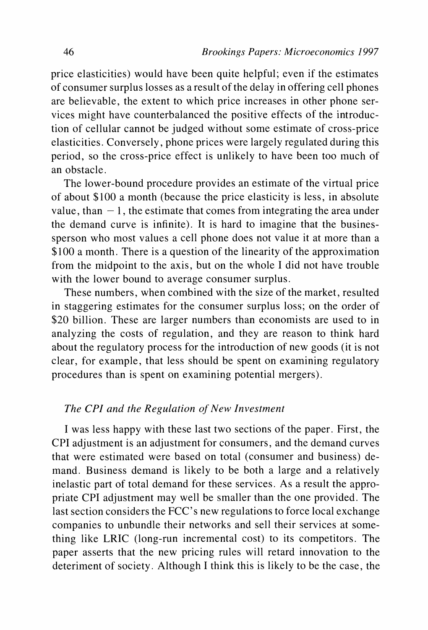**price elasticities) would have been quite helpful; even if the estimates of consumer surplus losses as a result of the delay in offering cell phones are believable, the extent to which price increases in other phone services might have counterbalanced the positive effects of the introduction of cellular cannot be judged without some estimate of cross-price elasticities. Conversely, phone prices were largely regulated during this period, so the cross-price effect is unlikely to have been too much of an obstacle.** 

**The lower-bound procedure provides an estimate of the virtual price of about \$100 a month (because the price elasticity is less, in absolute**  value, than  $-1$ , the estimate that comes from integrating the area under **the demand curve is infinite). It is hard to imagine that the businessperson who most values a cell phone does not value it at more than a \$100 a month. There is a question of the linearity of the approximation from the midpoint to the axis, but on the whole I did not have trouble with the lower bound to average consumer surplus.** 

**These numbers, when combined with the size of the market, resulted in staggering estimates for the consumer surplus loss; on the order of \$20 billion. These are larger numbers than economists are used to in analyzing the costs of regulation, and they are reason to think hard about the regulatory process for the introduction of new goods (it is not clear, for example, that less should be spent on examining regulatory procedures than is spent on examining potential mergers).** 

### **The CPI and the Regulation of New Investment**

**I was less happy with these last two sections of the paper. First, the CPI adjustment is an adjustment for consumers, and the demand curves that were estimated were based on total (consumer and business) demand. Business demand is likely to be both a large and a relatively inelastic part of total demand for these services. As a result the appropriate CPI adjustment may well be smaller than the one provided. The last section considers the FCC's new regulations to force local exchange companies to unbundle their networks and sell their services at something like LRIC (long-run incremental cost) to its competitors. The paper asserts that the new pricing rules will retard innovation to the deteriment of society. Although I think this is likely to be the case, the**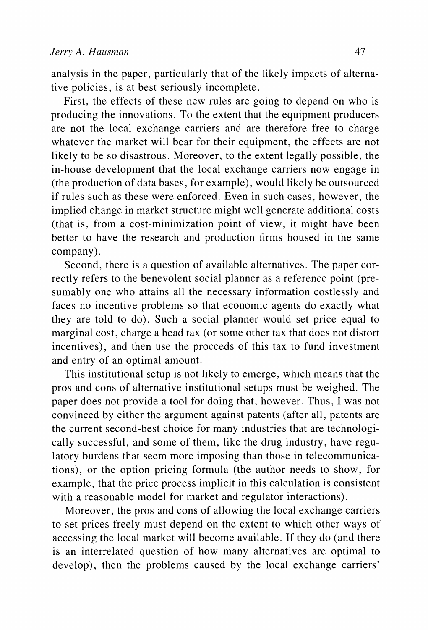**analysis in the paper, particularly that of the likely impacts of alternative policies, is at best seriously incomplete.** 

**First, the effects of these new rules are going to depend on who is producing the innovations. To the extent that the equipment producers are not the local exchange carriers and are therefore free to charge whatever the market will bear for their equipment, the effects are not likely to be so disastrous. Moreover, to the extent legally possible, the in-house development that the local exchange carriers now engage in (the production of data bases, for example), would likely be outsourced if rules such as these were enforced. Even in such cases, however, the implied change in market structure might well generate additional costs (that is, from a cost-minimization point of view, it might have been better to have the research and production firms housed in the same company).** 

**Second, there is a question of available alternatives. The paper correctly refers to the benevolent social planner as a reference point (presumably one who attains all the necessary information costlessly and faces no incentive problems so that economic agents do exactly what they are told to do). Such a social planner would set price equal to marginal cost, charge a head tax (or some other tax that does not distort incentives), and then use the proceeds of this tax to fund investment and entry of an optimal amount.** 

**This institutional setup is not likely to emerge, which means that the pros and cons of alternative institutional setups must be weighed. The paper does not provide a tool for doing that, however. Thus, I was not convinced by either the argument against patents (after all, patents are the current second-best choice for many industries that are technologically successful, and some of them, like the drug industry, have regulatory burdens that seem more imposing than those in telecommunications), or the option pricing formula (the author needs to show, for example, that the price process implicit in this calculation is consistent with a reasonable model for market and regulator interactions).** 

**Moreover, the pros and cons of allowing the local exchange carriers to set prices freely must depend on the extent to which other ways of accessing the local market will become available. If they do (and there is an interrelated question of how many alternatives are optimal to develop), then the problems caused by the local exchange carriers'**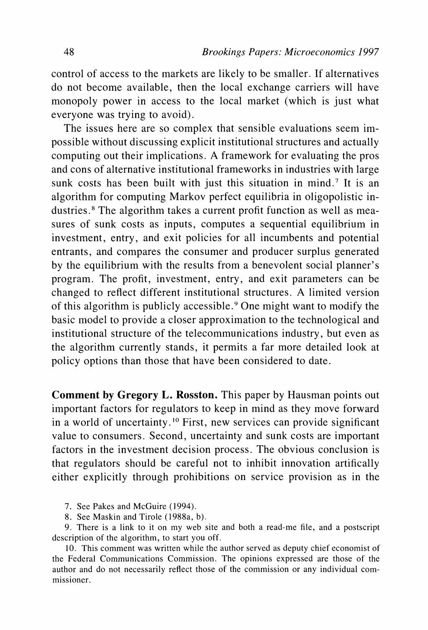**control of access to the markets are likely to be smaller. If alternatives do not become available, then the local exchange carriers will have monopoly power in access to the local market (which is just what everyone was trying to avoid).** 

**The issues here are so complex that sensible evaluations seem impossible without discussing explicit institutional structures and actually computing out their implications. A framework for evaluating the pros and cons of alternative institutional frameworks in industries with large sunk costs has been built with just this situation in mind.7 It is an algorithm for computing Markov perfect equilibria in oligopolistic industries.8 The algorithm takes a current profit function as well as measures of sunk costs as inputs, computes a sequential equilibrium in investment, entry, and exit policies for all incumbents and potential entrants, and compares the consumer and producer surplus generated by the equilibrium with the results from a benevolent social planner's program. The profit, investment, entry, and exit parameters can be changed to reflect different institutional structures. A limited version of this algorithm is publicly accessible.9 One might want to modify the basic model to provide a closer approximation to the technological and institutional structure of the telecommunications industry, but even as the algorithm currently stands, it permits a far more detailed look at policy options than those that have been considered to date.** 

**Comment by Gregory L. Rosston. This paper by Hausman points out important factors for regulators to keep in mind as they move forward in a world of uncertainty. 10 First, new services can provide significant value to consumers. Second, uncertainty and sunk costs are important factors in the investment decision process. The obvious conclusion is that regulators should be careful not to inhibit innovation artifically either explicitly through prohibitions on service provision as in the** 

- **7. See Pakes and McGuire (1994).**
- **8. See Maskin and Tirole (1988a, b).**

**9. There is a link to it on my web site and both a read-me file, and a postscript description of the algorithm, to start you off.** 

**10. This comment was written while the author served as deputy chief economist of the Federal Communications Commission. The opinions expressed are those of the author and do not necessarily reflect those of the commission or any individual commissioner.**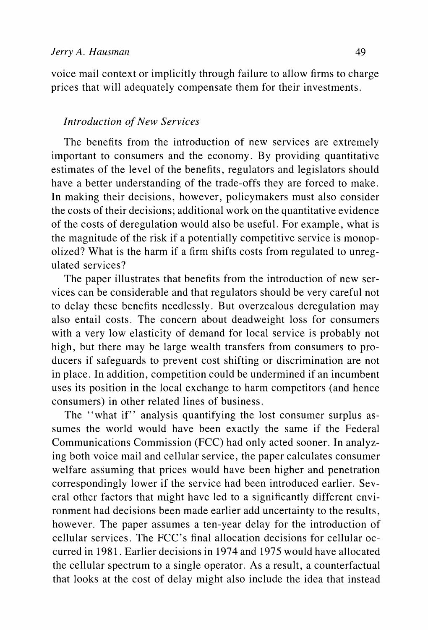**voice mail context or implicitly through failure to allow firms to charge prices that will adequately compensate them for their investments.** 

### **Introduction of New Services**

**The benefits from the introduction of new services are extremely important to consumers and the economy. By providing quantitative estimates of the level of the benefits, regulators and legislators should have a better understanding of the trade-offs they are forced to make. In making their decisions, however, policymakers must also consider the costs of their decisions; additional work on the quantitative evidence of the costs of deregulation would also be useful. For example, what is the magnitude of the risk if a potentially competitive service is monopolized? What is the harm if a firm shifts costs from regulated to unregulated services?** 

**The paper illustrates that benefits from the introduction of new services can be considerable and that regulators should be very careful not to delay these benefits needlessly. But overzealous deregulation may also entail costs. The concern about deadweight loss for consumers with a very low elasticity of demand for local service is probably not high, but there may be large wealth transfers from consumers to producers if safeguards to prevent cost shifting or discrimination are not in place. In addition, competition could be undermined if an incumbent uses its position in the local exchange to harm competitors (and hence consumers) in other related lines of business.** 

**The "what if" analysis quantifying the lost consumer surplus assumes the world would have been exactly the same if the Federal Communications Commission (FCC) had only acted sooner. In analyzing both voice mail and cellular service, the paper calculates consumer welfare assuming that prices would have been higher and penetration correspondingly lower if the service had been introduced earlier. Several other factors that might have led to a significantly different environment had decisions been made earlier add uncertainty to the results, however. The paper assumes a ten-year delay for the introduction of cellular services. The FCC's final allocation decisions for cellular occurred in 1981. Earlier decisions in 1974 and 1975 would have allocated the cellular spectrum to a single operator. As a result, a counterfactual that looks at the cost of delay might also include the idea that instead**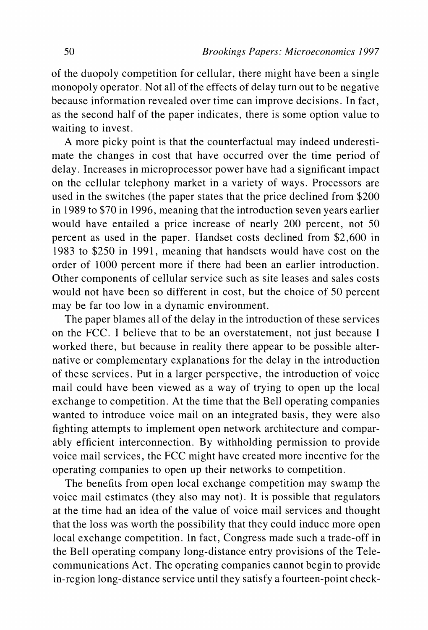**of the duopoly competition for cellular, there might have been a single monopoly operator. Not all of the effects of delay turn out to be negative because information revealed over time can improve decisions. In fact, as the second half of the paper indicates, there is some option value to waiting to invest.** 

**A more picky point is that the counterfactual may indeed underestimate the changes in cost that have occurred over the time period of delay. Increases in microprocessor power have had a significant impact on the cellular telephony market in a variety of ways. Processors are used in the switches (the paper states that the price declined from \$200 in 1989 to \$70 in 1996, meaning that the introduction seven years earlier would have entailed a price increase of nearly 200 percent, not 50 percent as used in the paper. Handset costs declined from \$2,600 in 1983 to \$250 in 1991, meaning that handsets would have cost on the order of 1000 percent more if there had been an earlier introduction. Other components of cellular service such as site leases and sales costs would not have been so different in cost, but the choice of 50 percent may be far too low in a dynamic environment.** 

**The paper blames all of the delay in the introduction of these services on the FCC. I believe that to be an overstatement, not just because I worked there, but because in reality there appear to be possible alternative or complementary explanations for the delay in the introduction of these services. Put in a larger perspective, the introduction of voice mail could have been viewed as a way of trying to open up the local exchange to competition. At the time that the Bell operating companies wanted to introduce voice mail on an integrated basis, they were also fighting attempts to implement open network architecture and comparably efficient interconnection. By withholding permission to provide voice mail services, the FCC might have created more incentive for the operating companies to open up their networks to competition.** 

**The benefits from open local exchange competition may swamp the voice mail estimates (they also may not). It is possible that regulators at the time had an idea of the value of voice mail services and thought that the loss was worth the possibility that they could induce more open local exchange competition. In fact, Congress made such a trade-off in the Bell operating company long-distance entry provisions of the Telecommunications Act. The operating companies cannot begin to provide in-region long-distance service until they satisfy a fourteen-point check-**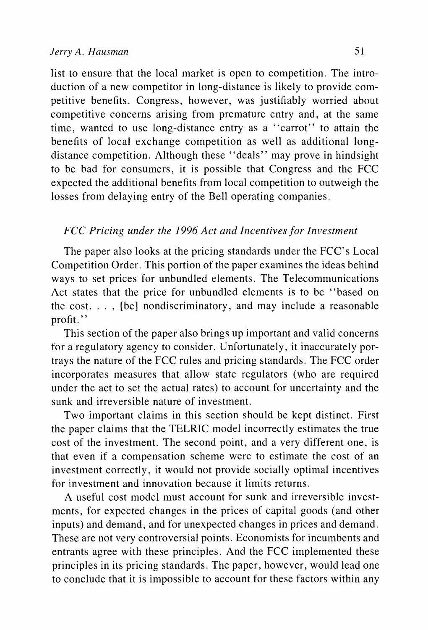**list to ensure that the local market is open to competition. The introduction of a new competitor in long-distance is likely to provide competitive benefits. Congress, however, was justifiably worried about competitive concerns arising from premature entry and, at the same time, wanted to use long-distance entry as a "carrot" to attain the benefits of local exchange competition as well as additional longdistance competition. Although these "deals" may prove in hindsight to be bad for consumers, it is possible that Congress and the FCC expected the additional benefits from local competition to outweigh the losses from delaying entry of the Bell operating companies.** 

## **FCC Pricing under the 1996 Act and Incentives for Investment**

**The paper also looks at the pricing standards under the FCC's Local Competition Order. This portion of the paper examines the ideas behind ways to set prices for unbundled elements. The Telecommunications Act states that the price for unbundled elements is to be "based on the cost. . . , [be] nondiscriminatory, and may include a reasonable**  profit."

**This section of the paper also brings up important and valid concerns for a regulatory agency to consider. Unfortunately, it inaccurately portrays the nature of the FCC rules and pricing standards. The FCC order incorporates measures that allow state regulators (who are required under the act to set the actual rates) to account for uncertainty and the sunk and irreversible nature of investment.** 

**Two important claims in this section should be kept distinct. First the paper claims that the TELRIC model incorrectly estimates the true cost of the investment. The second point, and a very different one, is that even if a compensation scheme were to estimate the cost of an investment correctly, it would not provide socially optimal incentives for investment and innovation because it limits returns.** 

**A useful cost model must account for sunk and irreversible investments, for expected changes in the prices of capital goods (and other inputs) and demand, and for unexpected changes in prices and demand. These are not very controversial points. Economists for incumbents and entrants agree with these principles. And the FCC implemented these principles in its pricing standards. The paper, however, would lead one to conclude that it is impossible to account for these factors within any**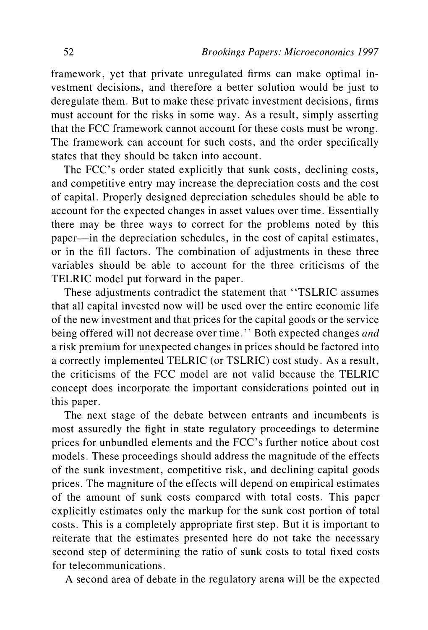**framework, yet that private unregulated firms can make optimal investment decisions, and therefore a better solution would be just to deregulate them. But to make these private investment decisions, firms must account for the risks in some way. As a result, simply asserting that the FCC framework cannot account for these costs must be wrong. The framework can account for such costs, and the order specifically states that they should be taken into account.** 

**The FCC's order stated explicitly that sunk costs, declining costs, and competitive entry may increase the depreciation costs and the cost of capital. Properly designed depreciation schedules should be able to account for the expected changes in asset values over time. Essentially there may be three ways to correct for the problems noted by this paper-in the depreciation schedules, in the cost of capital estimates, or in the fill factors. The combination of adjustments in these three variables should be able to account for the three criticisms of the TELRIC model put forward in the paper.** 

**These adjustments contradict the statement that "TSLRIC assumes that all capital invested now will be used over the entire economic life of the new investment and that prices for the capital goods or the service being offered will not decrease over time." Both expected changes and a risk premium for unexpected changes in prices should be factored into a correctly implemented TELRIC (or TSLRIC) cost study. As a result, the criticisms of the FCC model are not valid because the TELRIC concept does incorporate the important considerations pointed out in this paper.** 

**The next stage of the debate between entrants and incumbents is most assuredly the fight in state regulatory proceedings to determine prices for unbundled elements and the FCC's further notice about cost models. These proceedings should address the magnitude of the effects of the sunk investment, competitive risk, and declining capital goods prices. The magniture of the effects will depend on empirical estimates of the amount of sunk costs compared with total costs. This paper explicitly estimates only the markup for the sunk cost portion of total costs. This is a completely appropriate first step. But it is important to reiterate that the estimates presented here do not take the necessary second step of determining the ratio of sunk costs to total fixed costs for telecommunications.** 

**A second area of debate in the regulatory arena will be the expected**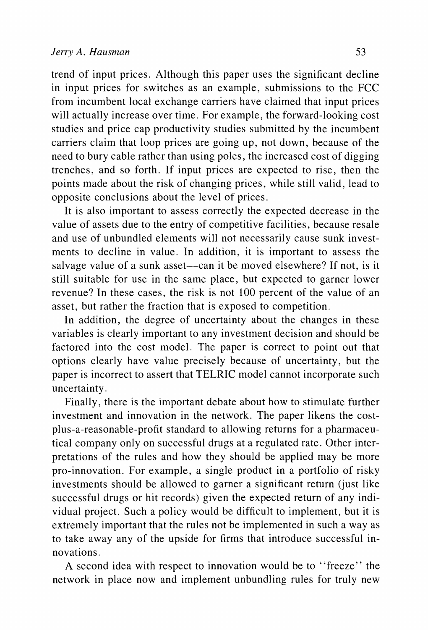**trend of input prices. Although this paper uses the significant decline in input prices for switches as an example, submissions to the FCC from incumbent local exchange carriers have claimed that input prices will actually increase over time. For example, the forward-looking cost studies and price cap productivity studies submitted by the incumbent carriers claim that loop prices are going up, not down, because of the need to bury cable rather than using poles, the increased cost of digging trenches, and so forth. If input prices are expected to rise, then the points made about the risk of changing prices, while still valid, lead to opposite conclusions about the level of prices.** 

**It is also important to assess correctly the expected decrease in the value of assets due to the entry of competitive facilities, because resale and use of unbundled elements will not necessarily cause sunk investments to decline in value. In addition, it is important to assess the**  salvage value of a sunk asset—can it be moved elsewhere? If not, is it **still suitable for use in the same place, but expected to garner lower revenue? In these cases, the risk is not 100 percent of the value of an asset, but rather the fraction that is exposed to competition.** 

**In addition, the degree of uncertainty about the changes in these variables is clearly important to any investment decision and should be factored into the cost model. The paper is correct to point out that options clearly have value precisely because of uncertainty, but the paper is incorrect to assert that TELRIC model cannot incorporate such uncertainty.** 

**Finally, there is the important debate about how to stimulate further investment and innovation in the network. The paper likens the costplus-a-reasonable-profit standard to allowing returns for a pharmaceutical company only on successful drugs at a regulated rate. Other interpretations of the rules and how they should be applied may be more pro-innovation. For example, a single product in a portfolio of risky investments should be allowed to garner a significant return (just like successful drugs or hit records) given the expected return of any individual project. Such a policy would be difficult to implement, but it is extremely important that the rules not be implemented in such a way as to take away any of the upside for firms that introduce successful innovations.** 

**A second idea with respect to innovation would be to "freeze" the network in place now and implement unbundling rules for truly new**